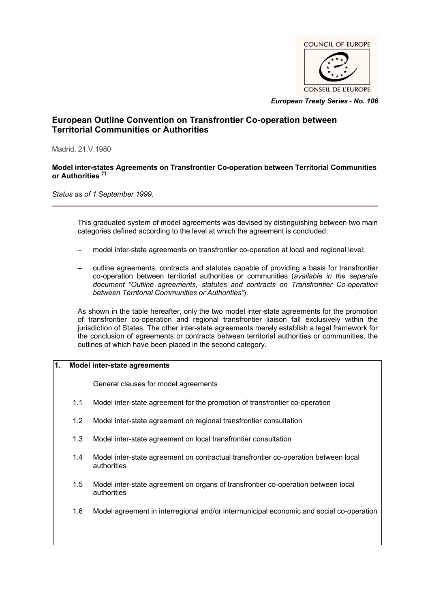

*European Treaty Series* **-** *No. 106*

# **European Outline Convention on Transfrontier Co-operation between Territorial Communities or Authorities**

Madrid, 21.V.1980

#### **Model inter-states Agreements on Transfrontier Co-operation between Territorial Communities or Authorities (\*)**

*Status as of 1 September 1999.*

This graduated system of model agreements was devised by distinguishing between two main categories defined according to the level at which the agreement is concluded:

- model inter-state agreements on transfrontier co-operation at local and regional level;
- outline agreements, contracts and statutes capable of providing a basis for transfrontier co-operation between territorial authorities or communities (*available in the separate document "Outline agreements, statutes and contracts on Transfrontier Co-operation between Territorial Communities or Authorities"*).

As shown in the table hereafter, only the two model inter-state agreements for the promotion of transfrontier co-operation and regional transfrontier liaison fall exclusively within the jurisdiction of States. The other inter-state agreements merely establish a legal framework for the conclusion of agreements or contracts between territorial authorities or communities, the outlines of which have been placed in the second category.

## **1. Model inter-state agreements**

General clauses for model agreements

- 1.1 Model inter-state agreement for the promotion of transfrontier co-operation
- 1.2 Model inter-state agreement on regional transfrontier consultation
- 1.3 Model inter-state agreement on local transfrontier consultation
- 1.4 Model inter-state agreement on contractual transfrontier co-operation between local authorities
- 1.5 Model inter-state agreement on organs of transfrontier co-operation between local authorities
- 1.6 Model agreement in interregional and/or intermunicipal economic and social co-operation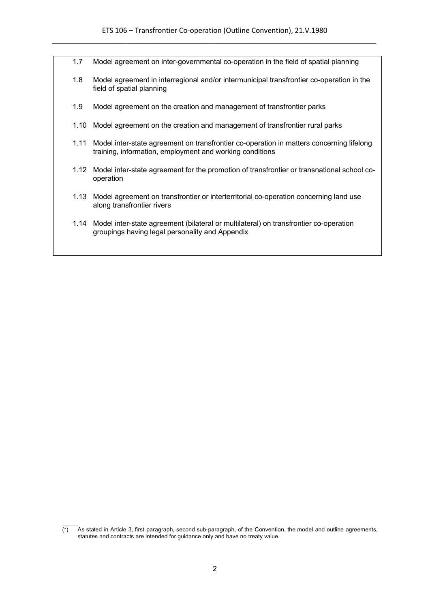- 1.7 Model agreement on inter-governmental co-operation in the field of spatial planning
- 1.8 Model agreement in interregional and/or intermunicipal transfrontier co-operation in the field of spatial planning
- 1.9 Model agreement on the creation and management of transfrontier parks
- 1.10 Model agreement on the creation and management of transfrontier rural parks
- 1.11 Model inter-state agreement on transfrontier co-operation in matters concerning lifelong training, information, employment and working conditions
- 1.12 Model inter-state agreement for the promotion of transfrontier or transnational school cooperation
- 1.13 Model agreement on transfrontier or interterritorial co-operation concerning land use along transfrontier rivers
- 1.14 Model inter-state agreement (bilateral or multilateral) on transfrontier co-operation groupings having legal personality and Appendix

 $\mathcal{L}$  $\overline{(*)}$  As stated in Article 3, first paragraph, second sub-paragraph, of the Convention, the model and outline agreements, statutes and contracts are intended for guidance only and have no treaty value.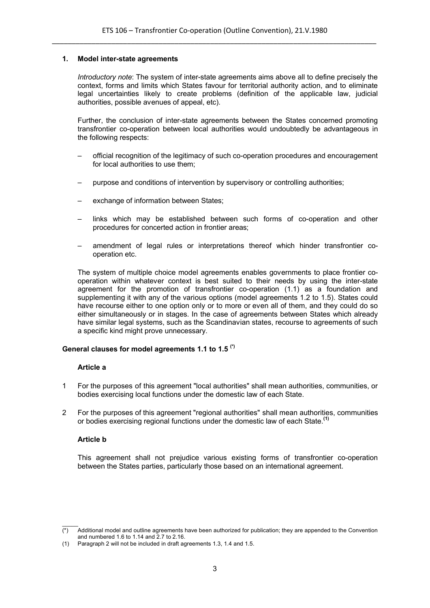#### **1. Model inter-state agreements**

*Introductory note*: The system of inter-state agreements aims above all to define precisely the context, forms and limits which States favour for territorial authority action, and to eliminate legal uncertainties likely to create problems (definition of the applicable law, judicial authorities, possible avenues of appeal, etc).

Further, the conclusion of inter-state agreements between the States concerned promoting transfrontier co-operation between local authorities would undoubtedly be advantageous in the following respects:

- official recognition of the legitimacy of such co-operation procedures and encouragement for local authorities to use them;
- purpose and conditions of intervention by supervisory or controlling authorities;
- exchange of information between States;
- links which may be established between such forms of co-operation and other procedures for concerted action in frontier areas;
- amendment of legal rules or interpretations thereof which hinder transfrontier cooperation etc.

The system of multiple choice model agreements enables governments to place frontier cooperation within whatever context is best suited to their needs by using the inter-state agreement for the promotion of transfrontier co-operation (1.1) as a foundation and supplementing it with any of the various options (model agreements 1.2 to 1.5). States could have recourse either to one option only or to more or even all of them, and they could do so either simultaneously or in stages. In the case of agreements between States which already have similar legal systems, such as the Scandinavian states, recourse to agreements of such a specific kind might prove unnecessary.

## **General clauses for model agreements 1.1 to 1.5 (\*)**

#### **Article a**

- 1 For the purposes of this agreement "local authorities" shall mean authorities, communities, or bodies exercising local functions under the domestic law of each State.
- 2 For the purposes of this agreement "regional authorities" shall mean authorities, communities or bodies exercising regional functions under the domestic law of each State.**(1)**

## **Article b**

This agreement shall not prejudice various existing forms of transfrontier co-operation between the States parties, particularly those based on an international agreement.

 $\mathcal{L}$  $(*)$  Additional model and outline agreements have been authorized for publication; they are appended to the Convention and numbered 1.6 to 1.14 and 2.7 to 2.16.

<sup>(1)</sup> Paragraph 2 will not be included in draft agreements 1.3, 1.4 and 1.5.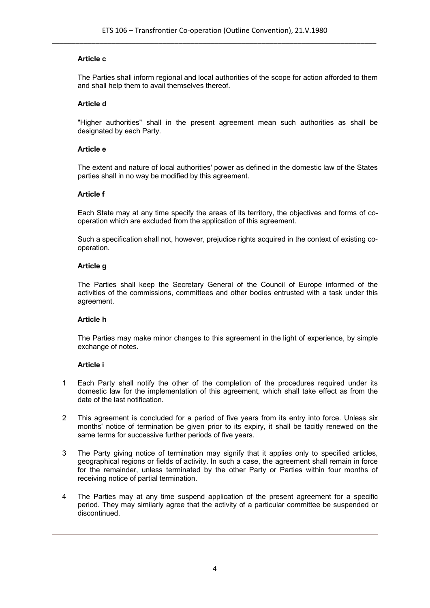## **Article c**

The Parties shall inform regional and local authorities of the scope for action afforded to them and shall help them to avail themselves thereof.

#### **Article d**

"Higher authorities" shall in the present agreement mean such authorities as shall be designated by each Party.

#### **Article e**

The extent and nature of local authorities' power as defined in the domestic law of the States parties shall in no way be modified by this agreement.

#### **Article f**

Each State may at any time specify the areas of its territory, the objectives and forms of cooperation which are excluded from the application of this agreement.

Such a specification shall not, however, prejudice rights acquired in the context of existing cooperation.

#### **Article g**

The Parties shall keep the Secretary General of the Council of Europe informed of the activities of the commissions, committees and other bodies entrusted with a task under this agreement.

## **Article h**

The Parties may make minor changes to this agreement in the light of experience, by simple exchange of notes.

## **Article i**

- 1 Each Party shall notify the other of the completion of the procedures required under its domestic law for the implementation of this agreement, which shall take effect as from the date of the last notification.
- 2 This agreement is concluded for a period of five years from its entry into force. Unless six months' notice of termination be given prior to its expiry, it shall be tacitly renewed on the same terms for successive further periods of five years.
- 3 The Party giving notice of termination may signify that it applies only to specified articles, geographical regions or fields of activity. In such a case, the agreement shall remain in force for the remainder, unless terminated by the other Party or Parties within four months of receiving notice of partial termination.
- 4 The Parties may at any time suspend application of the present agreement for a specific period. They may similarly agree that the activity of a particular committee be suspended or discontinued.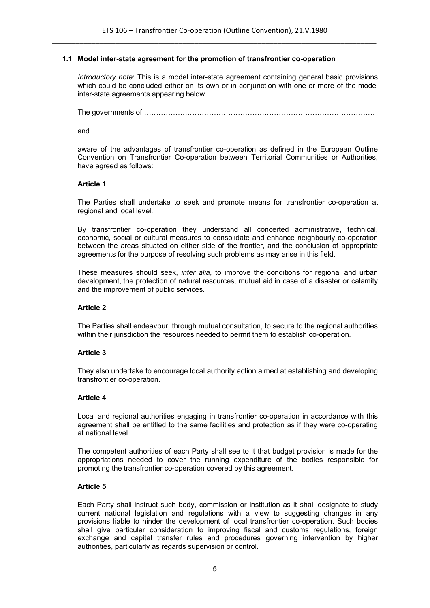#### **1.1 Model inter-state agreement for the promotion of transfrontier co-operation**

*Introductory note*: This is a model inter-state agreement containing general basic provisions which could be concluded either on its own or in conjunction with one or more of the model inter-state agreements appearing below.

The governments of …………………………………………………………………………………… and ……………………………………………………………………………………………………….

aware of the advantages of transfrontier co-operation as defined in the European Outline Convention on Transfrontier Co-operation between Territorial Communities or Authorities, have agreed as follows:

#### **Article 1**

The Parties shall undertake to seek and promote means for transfrontier co-operation at regional and local level.

By transfrontier co-operation they understand all concerted administrative, technical, economic, social or cultural measures to consolidate and enhance neighbourly co-operation between the areas situated on either side of the frontier, and the conclusion of appropriate agreements for the purpose of resolving such problems as may arise in this field.

These measures should seek, *inter alia*, to improve the conditions for regional and urban development, the protection of natural resources, mutual aid in case of a disaster or calamity and the improvement of public services.

#### **Article 2**

The Parties shall endeavour, through mutual consultation, to secure to the regional authorities within their jurisdiction the resources needed to permit them to establish co-operation.

#### **Article 3**

They also undertake to encourage local authority action aimed at establishing and developing transfrontier co-operation.

#### **Article 4**

Local and regional authorities engaging in transfrontier co-operation in accordance with this agreement shall be entitled to the same facilities and protection as if they were co-operating at national level.

The competent authorities of each Party shall see to it that budget provision is made for the appropriations needed to cover the running expenditure of the bodies responsible for promoting the transfrontier co-operation covered by this agreement.

#### **Article 5**

Each Party shall instruct such body, commission or institution as it shall designate to study current national legislation and regulations with a view to suggesting changes in any provisions liable to hinder the development of local transfrontier co-operation. Such bodies shall give particular consideration to improving fiscal and customs regulations, foreign exchange and capital transfer rules and procedures governing intervention by higher authorities, particularly as regards supervision or control.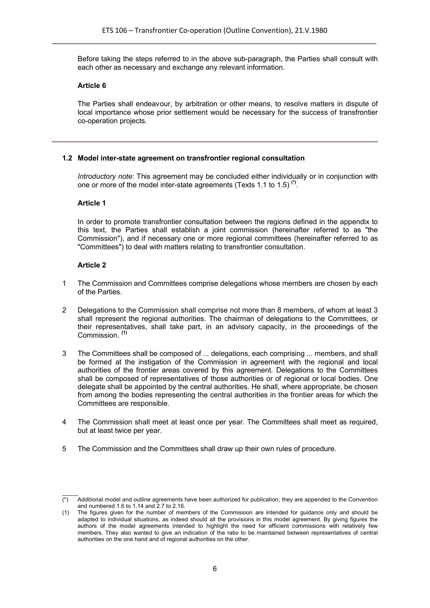Before taking the steps referred to in the above sub-paragraph, the Parties shall consult with each other as necessary and exchange any relevant information.

## **Article 6**

The Parties shall endeavour, by arbitration or other means, to resolve matters in dispute of local importance whose prior settlement would be necessary for the success of transfrontier co-operation projects.

## **1.2 Model inter-state agreement on transfrontier regional consultation**

*Introductory note*: This agreement may be concluded either individually or in conjunction with one or more of the model inter-state agreements (Texts 1.1 to 1.5) **(\*)** .

#### **Article 1**

In order to promote transfrontier consultation between the regions defined in the appendix to this text, the Parties shall establish a joint commission (hereinafter referred to as "the Commission"), and if necessary one or more regional committees (hereinafter referred to as "Committees") to deal with matters relating to transfrontier consultation.

- 1 The Commission and Committees comprise delegations whose members are chosen by each of the Parties.
- 2 Delegations to the Commission shall comprise not more than 8 members, of whom at least 3 shall represent the regional authorities. The chairman of delegations to the Committees, or their representatives, shall take part, in an advisory capacity, in the proceedings of the Commission. **(1)**
- 3 The Committees shall be composed of ... delegations, each comprising ... members, and shall be formed at the instigation of the Commission in agreement with the regional and local authorities of the frontier areas covered by this agreement. Delegations to the Committees shall be composed of representatives of those authorities or of regional or local bodies. One delegate shall be appointed by the central authorities. He shall, where appropriate, be chosen from among the bodies representing the central authorities in the frontier areas for which the Committees are responsible.
- 4 The Commission shall meet at least once per year. The Committees shall meet as required, but at least twice per year.
- 5 The Commission and the Committees shall draw up their own rules of procedure.

 $\mathcal{L}$  $\overline{(\cdot)}$  Additional model and outline agreements have been authorized for publication; they are appended to the Convention and numbered 1.6 to 1.14 and 2.7 to 2.16.

<sup>(1)</sup> The figures given for the number of members of the Commission are intended for guidance only and should be adapted to individual situations, as indeed should all the provisions in this model agreement. By giving figures the authors of the model agreements intended to highlight the need for efficient commissions with relatively few members. They also wanted to give an indication of the ratio to be maintained between representatives of central authorities on the one hand and of regional authorities on the other.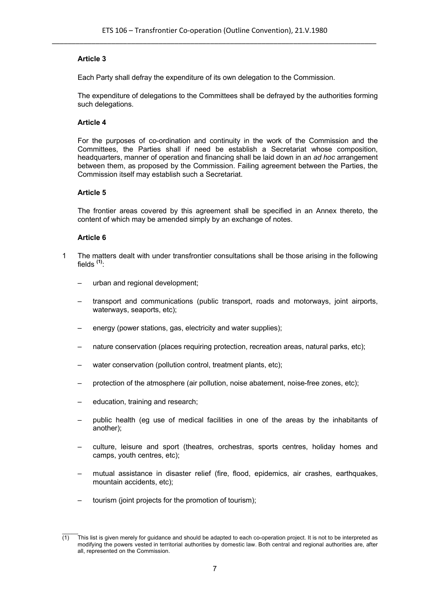Each Party shall defray the expenditure of its own delegation to the Commission.

The expenditure of delegations to the Committees shall be defrayed by the authorities forming such delegations.

# **Article 4**

For the purposes of co-ordination and continuity in the work of the Commission and the Committees, the Parties shall if need be establish a Secretariat whose composition, headquarters, manner of operation and financing shall be laid down in an *ad hoc* arrangement between them, as proposed by the Commission. Failing agreement between the Parties, the Commission itself may establish such a Secretariat.

# **Article 5**

The frontier areas covered by this agreement shall be specified in an Annex thereto, the content of which may be amended simply by an exchange of notes.

- 1 The matters dealt with under transfrontier consultations shall be those arising in the following fields **(1)** :
	- urban and regional development;
	- transport and communications (public transport, roads and motorways, joint airports, waterways, seaports, etc);
	- energy (power stations, gas, electricity and water supplies);
	- nature conservation (places requiring protection, recreation areas, natural parks, etc);
	- water conservation (pollution control, treatment plants, etc);
	- protection of the atmosphere (air pollution, noise abatement, noise-free zones, etc);
	- education, training and research;
	- public health (eg use of medical facilities in one of the areas by the inhabitants of another);
	- culture, leisure and sport (theatres, orchestras, sports centres, holiday homes and camps, youth centres, etc);
	- mutual assistance in disaster relief (fire, flood, epidemics, air crashes, earthquakes, mountain accidents, etc);
	- tourism (joint projects for the promotion of tourism);

 $\mathcal{L}$  $(1)$  This list is given merely for guidance and should be adapted to each co-operation project. It is not to be interpreted as modifying the powers vested in territorial authorities by domestic law. Both central and regional authorities are, after all, represented on the Commission.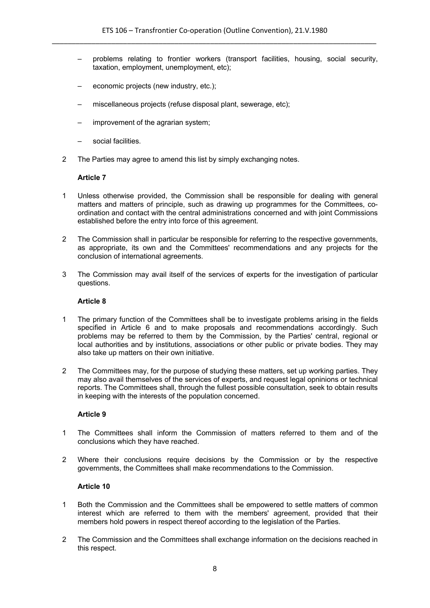- problems relating to frontier workers (transport facilities, housing, social security, taxation, employment, unemployment, etc);
- economic projects (new industry, etc.);
- miscellaneous projects (refuse disposal plant, sewerage, etc);
- improvement of the agrarian system;
- social facilities.
- 2 The Parties may agree to amend this list by simply exchanging notes.

- 1 Unless otherwise provided, the Commission shall be responsible for dealing with general matters and matters of principle, such as drawing up programmes for the Committees, coordination and contact with the central administrations concerned and with joint Commissions established before the entry into force of this agreement.
- 2 The Commission shall in particular be responsible for referring to the respective governments, as appropriate, its own and the Committees' recommendations and any projects for the conclusion of international agreements.
- 3 The Commission may avail itself of the services of experts for the investigation of particular questions.

#### **Article 8**

- 1 The primary function of the Committees shall be to investigate problems arising in the fields specified in Article 6 and to make proposals and recommendations accordingly. Such problems may be referred to them by the Commission, by the Parties' central, regional or local authorities and by institutions, associations or other public or private bodies. They may also take up matters on their own initiative.
- 2 The Committees may, for the purpose of studying these matters, set up working parties. They may also avail themselves of the services of experts, and request legal opninions or technical reports. The Committees shall, through the fullest possible consultation, seek to obtain results in keeping with the interests of the population concerned.

## **Article 9**

- 1 The Committees shall inform the Commission of matters referred to them and of the conclusions which they have reached.
- 2 Where their conclusions require decisions by the Commission or by the respective governments, the Committees shall make recommendations to the Commission.

- 1 Both the Commission and the Committees shall be empowered to settle matters of common interest which are referred to them with the members' agreement, provided that their members hold powers in respect thereof according to the legislation of the Parties.
- 2 The Commission and the Committees shall exchange information on the decisions reached in this respect.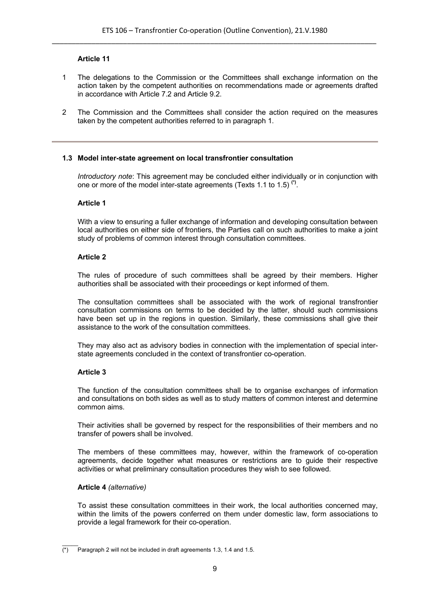- 1 The delegations to the Commission or the Committees shall exchange information on the action taken by the competent authorities on recommendations made or agreements drafted in accordance with Article 7.2 and Article 9.2.
- 2 The Commission and the Committees shall consider the action required on the measures taken by the competent authorities referred to in paragraph 1.

## **1.3 Model inter-state agreement on local transfrontier consultation**

*Introductory note*: This agreement may be concluded either individually or in conjunction with one or more of the model inter-state agreements (Texts 1.1 to 1.5) **(\*)** .

#### **Article 1**

With a view to ensuring a fuller exchange of information and developing consultation between local authorities on either side of frontiers, the Parties call on such authorities to make a joint study of problems of common interest through consultation committees.

#### **Article 2**

The rules of procedure of such committees shall be agreed by their members. Higher authorities shall be associated with their proceedings or kept informed of them.

The consultation committees shall be associated with the work of regional transfrontier consultation commissions on terms to be decided by the latter, should such commissions have been set up in the regions in question. Similarly, these commissions shall give their assistance to the work of the consultation committees.

They may also act as advisory bodies in connection with the implementation of special interstate agreements concluded in the context of transfrontier co-operation.

## **Article 3**

The function of the consultation committees shall be to organise exchanges of information and consultations on both sides as well as to study matters of common interest and determine common aims.

Their activities shall be governed by respect for the responsibilities of their members and no transfer of powers shall be involved.

The members of these committees may, however, within the framework of co-operation agreements, decide together what measures or restrictions are to guide their respective activities or what preliminary consultation procedures they wish to see followed.

#### **Article 4** *(alternative)*

To assist these consultation committees in their work, the local authorities concerned may, within the limits of the powers conferred on them under domestic law, form associations to provide a legal framework for their co-operation.

 $\mathcal{L}$  $\overline{(*)}$  Paragraph 2 will not be included in draft agreements 1.3, 1.4 and 1.5.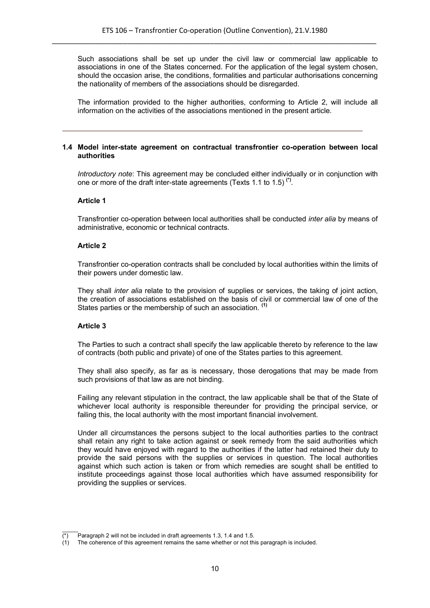Such associations shall be set up under the civil law or commercial law applicable to associations in one of the States concerned. For the application of the legal system chosen, should the occasion arise, the conditions, formalities and particular authorisations concerning the nationality of members of the associations should be disregarded.

The information provided to the higher authorities, conforming to Article 2, will include all information on the activities of the associations mentioned in the present article.

#### **1.4 Model inter-state agreement on contractual transfrontier co-operation between local authorities**

*Introductory note*: This agreement may be concluded either individually or in conjunction with one or more of the draft inter-state agreements (Texts 1.1 to 1.5) **(\*)** .

#### **Article 1**

Transfrontier co-operation between local authorities shall be conducted *inter alia* by means of administrative, economic or technical contracts.

## **Article 2**

Transfrontier co-operation contracts shall be concluded by local authorities within the limits of their powers under domestic law.

They shall *inter alia* relate to the provision of supplies or services, the taking of joint action, the creation of associations established on the basis of civil or commercial law of one of the States parties or the membership of such an association. **(1)**

#### **Article 3**

The Parties to such a contract shall specify the law applicable thereto by reference to the law of contracts (both public and private) of one of the States parties to this agreement.

They shall also specify, as far as is necessary, those derogations that may be made from such provisions of that law as are not binding.

Failing any relevant stipulation in the contract, the law applicable shall be that of the State of whichever local authority is responsible thereunder for providing the principal service, or failing this, the local authority with the most important financial involvement.

Under all circumstances the persons subject to the local authorities parties to the contract shall retain any right to take action against or seek remedy from the said authorities which they would have enjoyed with regard to the authorities if the latter had retained their duty to provide the said persons with the supplies or services in question. The local authorities against which such action is taken or from which remedies are sought shall be entitled to institute proceedings against those local authorities which have assumed responsibility for providing the supplies or services.

 $\mathcal{L}$  $\overline{(*)}$  Paragraph 2 will not be included in draft agreements 1.3, 1.4 and 1.5.

<sup>(1)</sup> The coherence of this agreement remains the same whether or not this paragraph is included.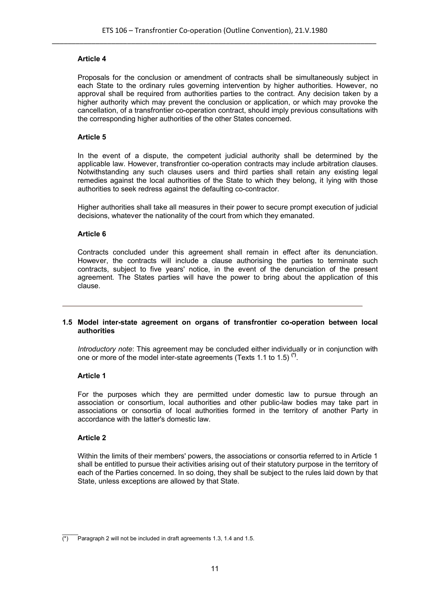Proposals for the conclusion or amendment of contracts shall be simultaneously subject in each State to the ordinary rules governing intervention by higher authorities. However, no approval shall be required from authorities parties to the contract. Any decision taken by a higher authority which may prevent the conclusion or application, or which may provoke the cancellation, of a transfrontier co-operation contract, should imply previous consultations with the corresponding higher authorities of the other States concerned.

#### **Article 5**

In the event of a dispute, the competent judicial authority shall be determined by the applicable law. However, transfrontier co-operation contracts may include arbitration clauses. Notwithstanding any such clauses users and third parties shall retain any existing legal remedies against the local authorities of the State to which they belong, it lying with those authorities to seek redress against the defaulting co-contractor.

Higher authorities shall take all measures in their power to secure prompt execution of judicial decisions, whatever the nationality of the court from which they emanated.

## **Article 6**

Contracts concluded under this agreement shall remain in effect after its denunciation. However, the contracts will include a clause authorising the parties to terminate such contracts, subject to five years' notice, in the event of the denunciation of the present agreement. The States parties will have the power to bring about the application of this clause.

#### **1.5 Model inter-state agreement on organs of transfrontier co-operation between local authorities**

*Introductory note*: This agreement may be concluded either individually or in conjunction with one or more of the model inter-state agreements (Texts 1.1 to 1.5) **(\*)** .

#### **Article 1**

For the purposes which they are permitted under domestic law to pursue through an association or consortium, local authorities and other public-law bodies may take part in associations or consortia of local authorities formed in the territory of another Party in accordance with the latter's domestic law.

#### **Article 2**

Within the limits of their members' powers, the associations or consortia referred to in Article 1 shall be entitled to pursue their activities arising out of their statutory purpose in the territory of each of the Parties concerned. In so doing, they shall be subject to the rules laid down by that State, unless exceptions are allowed by that State.

 $\mathcal{L}$  $\overline{(*)}$  Paragraph 2 will not be included in draft agreements 1.3, 1.4 and 1.5.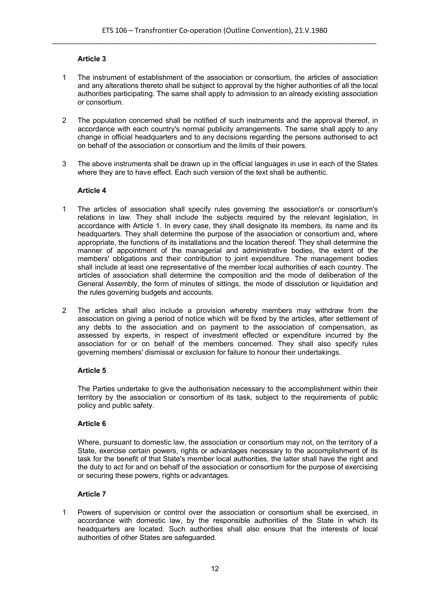- 1 The instrument of establishment of the association or consortium, the articles of association and any alterations thereto shall be subject to approval by the higher authorities of all the local authorities participating. The same shall apply to admission to an already existing association or consortium.
- 2 The population concerned shall be notified of such instruments and the approval thereof, in accordance with each country's normal publicity arrangements. The same shall apply to any change in official headquarters and to any decisions regarding the persons authorised to act on behalf of the association or consortium and the limits of their powers.
- 3 The above instruments shall be drawn up in the official languages in use in each of the States where they are to have effect. Each such version of the text shall be authentic.

## **Article 4**

- 1 The articles of association shall specify rules governing the association's or consortium's relations in law. They shall include the subjects required by the relevant legislation, in accordance with Article 1. In every case, they shall designate its members, its name and its headquarters. They shall determine the purpose of the association or consortium and, where appropriate, the functions of its installations and the location thereof. They shall determine the manner of appointment of the managerial and administrative bodies, the extent of the members' obligations and their contribution to joint expenditure. The management bodies shall include at least one representative of the member local authorities of each country. The articles of association shall determine the composition and the mode of deliberation of the General Assembly, the form of minutes of sittings, the mode of dissolution or liquidation and the rules governing budgets and accounts.
- 2 The articles shall also include a provision whereby members may withdraw from the association on giving a period of notice which will be fixed by the articles, after settlement of any debts to the association and on payment to the association of compensation, as assessed by experts, in respect of investment effected or expenditure incurred by the association for or on behalf of the members concerned. They shall also specify rules governing members' dismissal or exclusion for failure to honour their undertakings.

## **Article 5**

The Parties undertake to give the authorisation necessary to the accomplishment within their territory by the association or consortium of its task, subject to the requirements of public policy and public safety.

## **Article 6**

Where, pursuant to domestic law, the association or consortium may not, on the territory of a State, exercise certain powers, rights or advantages necessary to the accomplishment of its task for the benefit of that State's member local authorities, the latter shall have the right and the duty to act for and on behalf of the association or consortium for the purpose of exercising or securing these powers, rights or advantages.

## **Article 7**

1 Powers of supervision or control over the association or consortium shall be exercised, in accordance with domestic law, by the responsible authorities of the State in which its headquarters are located. Such authorities shall also ensure that the interests of local authorities of other States are safeguarded.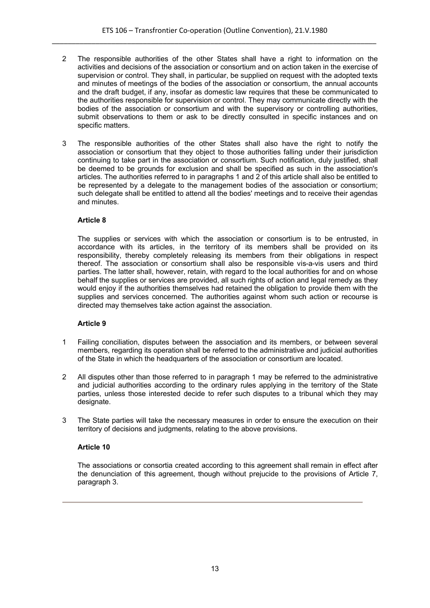- 2 The responsible authorities of the other States shall have a right to information on the activities and decisions of the association or consortium and on action taken in the exercise of supervision or control. They shall, in particular, be supplied on request with the adopted texts and minutes of meetings of the bodies of the association or consortium, the annual accounts and the draft budget, if any, insofar as domestic law requires that these be communicated to the authorities responsible for supervision or control. They may communicate directly with the bodies of the association or consortium and with the supervisory or controlling authorities, submit observations to them or ask to be directly consulted in specific instances and on specific matters.
- 3 The responsible authorities of the other States shall also have the right to notify the association or consortium that they object to those authorities falling under their jurisdiction continuing to take part in the association or consortium. Such notification, duly justified, shall be deemed to be grounds for exclusion and shall be specified as such in the association's articles. The authorities referred to in paragraphs 1 and 2 of this article shall also be entitled to be represented by a delegate to the management bodies of the association or consortium; such delegate shall be entitled to attend all the bodies' meetings and to receive their agendas and minutes.

The supplies or services with which the association or consortium is to be entrusted, in accordance with its articles, in the territory of its members shall be provided on its responsibility, thereby completely releasing its members from their obligations in respect thereof. The association or consortium shall also be responsible vis-a-vis users and third parties. The latter shall, however, retain, with regard to the local authorities for and on whose behalf the supplies or services are provided, all such rights of action and legal remedy as they would enjoy if the authorities themselves had retained the obligation to provide them with the supplies and services concerned. The authorities against whom such action or recourse is directed may themselves take action against the association.

## **Article 9**

- 1 Failing conciliation, disputes between the association and its members, or between several members, regarding its operation shall be referred to the administrative and judicial authorities of the State in which the headquarters of the association or consortium are located.
- 2 All disputes other than those referred to in paragraph 1 may be referred to the administrative and judicial authorities according to the ordinary rules applying in the territory of the State parties, unless those interested decide to refer such disputes to a tribunal which they may designate.
- 3 The State parties will take the necessary measures in order to ensure the execution on their territory of decisions and judgments, relating to the above provisions.

## **Article 10**

The associations or consortia created according to this agreement shall remain in effect after the denunciation of this agreement, though without prejucide to the provisions of Article 7, paragraph 3.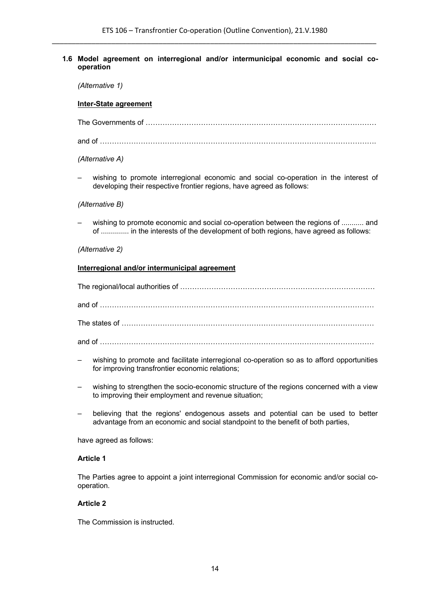#### **1.6 Model agreement on interregional and/or intermunicipal economic and social cooperation**

*(Alternative 1)*

#### **Inter-State agreement**

The Governments of ……………………………………………………………………………………

and of …………………………………………………………………………………………………….

*(Alternative A)*

wishing to promote interregional economic and social co-operation in the interest of developing their respective frontier regions, have agreed as follows:

#### *(Alternative B)*

– wishing to promote economic and social co-operation between the regions of ........... and of .............. in the interests of the development of both regions, have agreed as follows:

*(Alternative 2)*

#### **Interregional and/or intermunicipal agreement**

The regional/local authorities of ……………………………………………………………………… and of …………………………………………………………………………………………………… The states of …………………………………………………………………………………………… and of ……………………………………………………………………………………………………

- wishing to promote and facilitate interregional co-operation so as to afford opportunities for improving transfrontier economic relations;
- wishing to strengthen the socio-economic structure of the regions concerned with a view to improving their employment and revenue situation;
- believing that the regions' endogenous assets and potential can be used to better advantage from an economic and social standpoint to the benefit of both parties,

have agreed as follows:

## **Article 1**

The Parties agree to appoint a joint interregional Commission for economic and/or social cooperation.

#### **Article 2**

The Commission is instructed.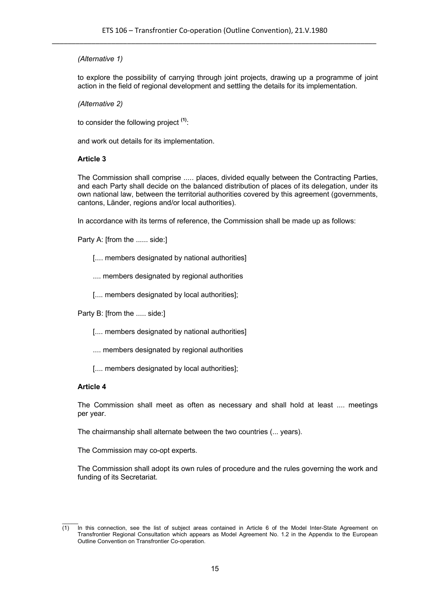# *(Alternative 1)*

to explore the possibility of carrying through joint projects, drawing up a programme of joint action in the field of regional development and settling the details for its implementation.

*(Alternative 2)*

to consider the following project **(1)**:

and work out details for its implementation.

## **Article 3**

The Commission shall comprise ..... places, divided equally between the Contracting Parties, and each Party shall decide on the balanced distribution of places of its delegation, under its own national law, between the territorial authorities covered by this agreement (governments, cantons, Länder, regions and/or local authorities).

In accordance with its terms of reference, the Commission shall be made up as follows:

Party A: [from the ...... side:]

- [.... members designated by national authorities]
- .... members designated by regional authorities
- [.... members designated by local authorities];

Party B: [from the ..... side:]

- [.... members designated by national authorities]
- .... members designated by regional authorities
- [.... members designated by local authorities];

## **Article 4**

The Commission shall meet as often as necessary and shall hold at least .... meetings per year.

The chairmanship shall alternate between the two countries (... years).

The Commission may co-opt experts.

The Commission shall adopt its own rules of procedure and the rules governing the work and funding of its Secretariat.

 $\mathcal{L}$  $(1)$  In this connection, see the list of subject areas contained in Article 6 of the Model Inter-State Agreement on Transfrontier Regional Consultation which appears as Model Agreement No. 1.2 in the Appendix to the European Outline Convention on Transfrontier Co-operation.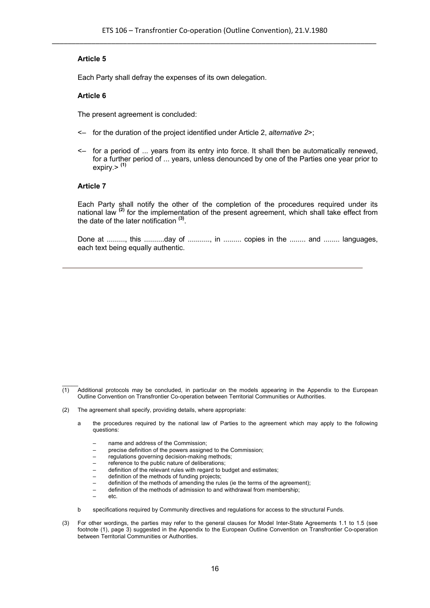Each Party shall defray the expenses of its own delegation.

#### **Article 6**

The present agreement is concluded:

- <– for the duration of the project identified under Article 2, *alternative 2*>;
- <– for a period of ... years from its entry into force. It shall then be automatically renewed, for a further period of ... years, unless denounced by one of the Parties one year prior to expiry.> **(1)**

#### **Article 7**

Each Party shall notify the other of the completion of the procedures required under its national law **(2)** for the implementation of the present agreement, which shall take effect from the date of the later notification **(3)** .

Done at ........., this ...........day of ..........., in ......... copies in the ........ and ........ languages, each text being equally authentic.

- (2) The agreement shall specify, providing details, where appropriate:
	- a the procedures required by the national law of Parties to the agreement which may apply to the following questions:
		- name and address of the Commission;
		- precise definition of the powers assigned to the Commission;
		- regulations governing decision-making methods;
		- reference to the public nature of deliberations;
		- definition of the relevant rules with regard to budget and estimates;
		- definition of the methods of funding projects;
		- definition of the methods of amending the rules (ie the terms of the agreement);
		- definition of the methods of admission to and withdrawal from membership;
		- etc.
	- b specifications required by Community directives and regulations for access to the structural Funds.
- (3) For other wordings, the parties may refer to the general clauses for Model Inter-State Agreements 1.1 to 1.5 (see footnote (1), page 3) suggested in the Appendix to the European Outline Convention on Transfrontier Co-operation between Territorial Communities or Authorities.

 $\mathcal{L}$  $\overline{(1)}$  Additional protocols may be concluded, in particular on the models appearing in the Appendix to the European Outline Convention on Transfrontier Co-operation between Territorial Communities or Authorities.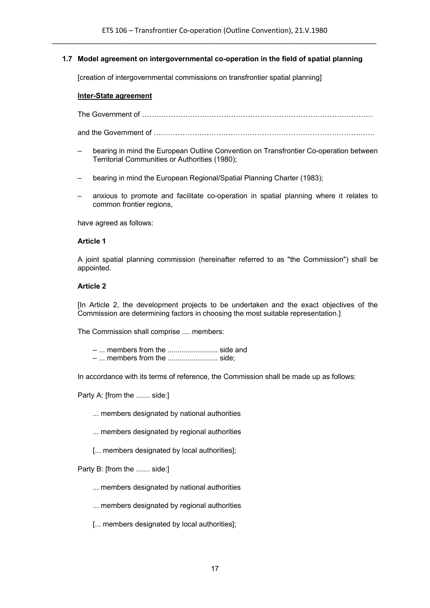## **1.7 Model agreement on intergovernmental co-operation in the field of spatial planning**

[creation of intergovernmental commissions on transfrontier spatial planning]

#### **Inter-State agreement**

The Government of ……………………………………………………………………………………

and the Government of ………………………………………………………………………………..

- bearing in mind the European Outline Convention on Transfrontier Co-operation between Territorial Communities or Authorities (1980);
- bearing in mind the European Regional/Spatial Planning Charter (1983);
- anxious to promote and facilitate co-operation in spatial planning where it relates to common frontier regions,

have agreed as follows:

#### **Article 1**

A joint spatial planning commission (hereinafter referred to as "the Commission") shall be appointed.

#### **Article 2**

[In Article 2, the development projects to be undertaken and the exact objectives of the Commission are determining factors in choosing the most suitable representation.]

The Commission shall comprise .... members:

– ... members from the ......................... side and

– ... members from the ......................... side;

In accordance with its terms of reference, the Commission shall be made up as follows:

Party A: [from the ....... side:]

- ... members designated by national authorities
- ... members designated by regional authorities
- [... members designated by local authorities];

Party B: [from the ....... side:]

- ... members designated by national authorities
- ... members designated by regional authorities
- [... members designated by local authorities];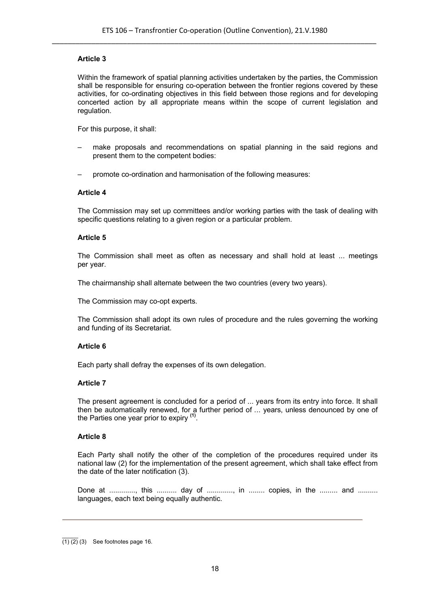Within the framework of spatial planning activities undertaken by the parties, the Commission shall be responsible for ensuring co-operation between the frontier regions covered by these activities, for co-ordinating objectives in this field between those regions and for developing concerted action by all appropriate means within the scope of current legislation and regulation.

For this purpose, it shall:

- make proposals and recommendations on spatial planning in the said regions and present them to the competent bodies:
- promote co-ordination and harmonisation of the following measures:

#### **Article 4**

The Commission may set up committees and/or working parties with the task of dealing with specific questions relating to a given region or a particular problem.

#### **Article 5**

The Commission shall meet as often as necessary and shall hold at least ... meetings per year.

The chairmanship shall alternate between the two countries (every two years).

The Commission may co-opt experts.

The Commission shall adopt its own rules of procedure and the rules governing the working and funding of its Secretariat.

#### **Article 6**

Each party shall defray the expenses of its own delegation.

#### **Article 7**

The present agreement is concluded for a period of ... years from its entry into force. It shall then be automatically renewed, for a further period of ... years, unless denounced by one of the Parties one year prior to expiry **(1)** .

#### **Article 8**

Each Party shall notify the other of the completion of the procedures required under its national law (2) for the implementation of the present agreement, which shall take effect from the date of the later notification (3).

Done at ............., this .......... day of .............., in ........ copies, in the ......... and ......... languages, each text being equally authentic.

 $\mathcal{L}$ (1) (2) (3) See footnotes page 16.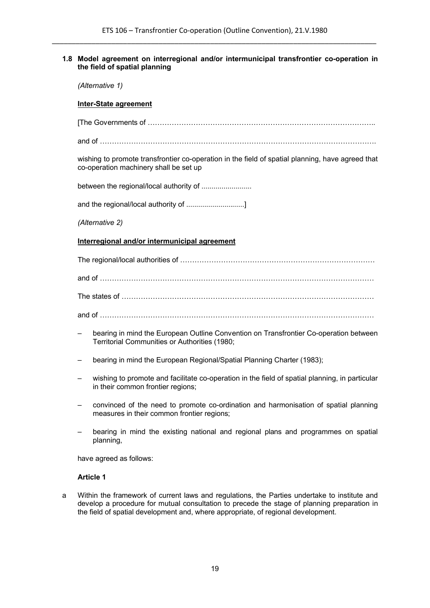## **1.8 Model agreement on interregional and/or intermunicipal transfrontier co-operation in the field of spatial planning**

*(Alternative 1)*

#### **Inter-State agreement**

[The Governments of …………………………………………………………………………………..

and of …………………………………………………………………………………………………….

wishing to promote transfrontier co-operation in the field of spatial planning, have agreed that co-operation machinery shall be set up

between the regional/local authority of .........................

and the regional/local authority of ................................]

*(Alternative 2)*

#### **Interregional and/or intermunicipal agreement**

The regional/local authorities of ………………………………………………………………………

and of ……………………………………………………………………………………………………

The states of ……………………………………………………………………………………………

and of ……………………………………………………………………………………………………

- bearing in mind the European Outline Convention on Transfrontier Co-operation between Territorial Communities or Authorities (1980;
- bearing in mind the European Regional/Spatial Planning Charter (1983);
- wishing to promote and facilitate co-operation in the field of spatial planning, in particular in their common frontier regions;
- convinced of the need to promote co-ordination and harmonisation of spatial planning measures in their common frontier regions;
- bearing in mind the existing national and regional plans and programmes on spatial planning,

have agreed as follows:

#### **Article 1**

a Within the framework of current laws and regulations, the Parties undertake to institute and develop a procedure for mutual consultation to precede the stage of planning preparation in the field of spatial development and, where appropriate, of regional development.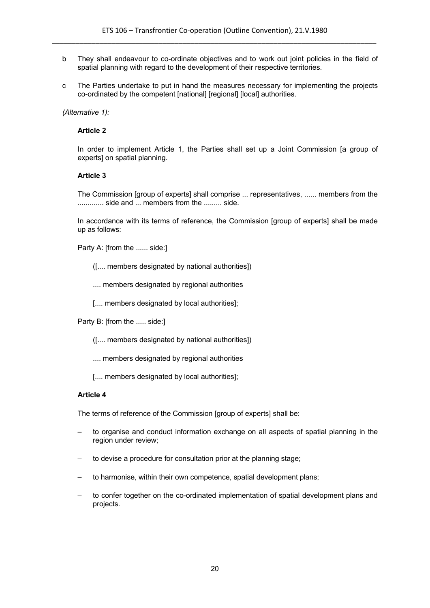- b They shall endeavour to co-ordinate objectives and to work out joint policies in the field of spatial planning with regard to the development of their respective territories.
- c The Parties undertake to put in hand the measures necessary for implementing the projects co-ordinated by the competent [national] [regional] [local] authorities.

## *(Alternative 1):*

## **Article 2**

In order to implement Article 1, the Parties shall set up a Joint Commission [a group of experts] on spatial planning.

## **Article 3**

The Commission [group of experts] shall comprise ... representatives, ...... members from the ............. side and ... members from the ......... side.

In accordance with its terms of reference, the Commission [group of experts] shall be made up as follows:

Party A: [from the ...... side:]

([.... members designated by national authorities])

.... members designated by regional authorities

[.... members designated by local authorities];

Party B: [from the ..... side:]

([.... members designated by national authorities])

.... members designated by regional authorities

[.... members designated by local authorities];

## **Article 4**

The terms of reference of the Commission [group of experts] shall be:

- to organise and conduct information exchange on all aspects of spatial planning in the region under review;
- to devise a procedure for consultation prior at the planning stage;
- to harmonise, within their own competence, spatial development plans;
- to confer together on the co-ordinated implementation of spatial development plans and projects.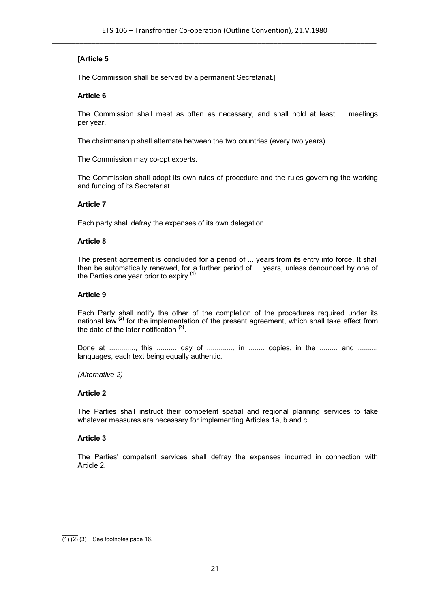The Commission shall be served by a permanent Secretariat.]

#### **Article 6**

The Commission shall meet as often as necessary, and shall hold at least ... meetings per year.

The chairmanship shall alternate between the two countries (every two years).

The Commission may co-opt experts.

The Commission shall adopt its own rules of procedure and the rules governing the working and funding of its Secretariat.

#### **Article 7**

Each party shall defray the expenses of its own delegation.

#### **Article 8**

The present agreement is concluded for a period of ... years from its entry into force. It shall then be automatically renewed, for a further period of ... years, unless denounced by one of the Parties one year prior to expiry **(1)** .

#### **Article 9**

Each Party shall notify the other of the completion of the procedures required under its national law **(2)** for the implementation of the present agreement, which shall take effect from the date of the later notification **(3)** .

Done at ............, this .......... day of ............., in ........ copies, in the ......... and ......... languages, each text being equally authentic.

#### *(Alternative 2)*

#### **Article 2**

The Parties shall instruct their competent spatial and regional planning services to take whatever measures are necessary for implementing Articles 1a, b and c.

#### **Article 3**

The Parties' competent services shall defray the expenses incurred in connection with Article 2.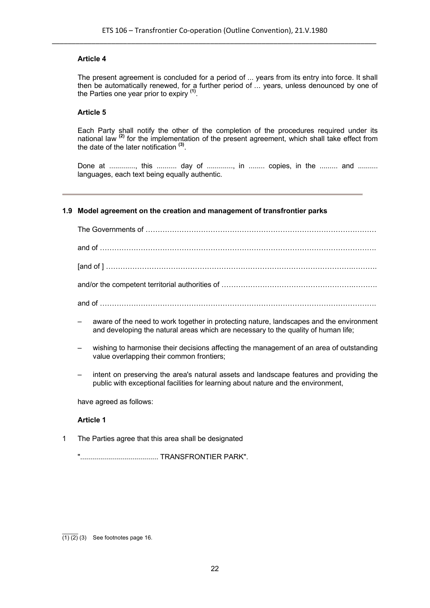The present agreement is concluded for a period of ... years from its entry into force. It shall then be automatically renewed, for a further period of ... years, unless denounced by one of the Parties one year prior to expiry **(1)** .

#### **Article 5**

Each Party shall notify the other of the completion of the procedures required under its national law **(2)** for the implementation of the present agreement, which shall take effect from the date of the later notification **(3)** .

Done at ............., this ........... day of .............., in ........ copies, in the ......... and ......... languages, each text being equally authentic.

#### **1.9 Model agreement on the creation and management of transfrontier parks**

- aware of the need to work together in protecting nature, landscapes and the environment and developing the natural areas which are necessary to the quality of human life;
- wishing to harmonise their decisions affecting the management of an area of outstanding value overlapping their common frontiers;
- intent on preserving the area's natural assets and landscape features and providing the public with exceptional facilities for learning about nature and the environment,

have agreed as follows:

#### **Article 1**

1 The Parties agree that this area shall be designated

"....................................... TRANSFRONTIER PARK".

 $\mathcal{L}$  $\overline{(1)(2)}$  (3) See footnotes page 16.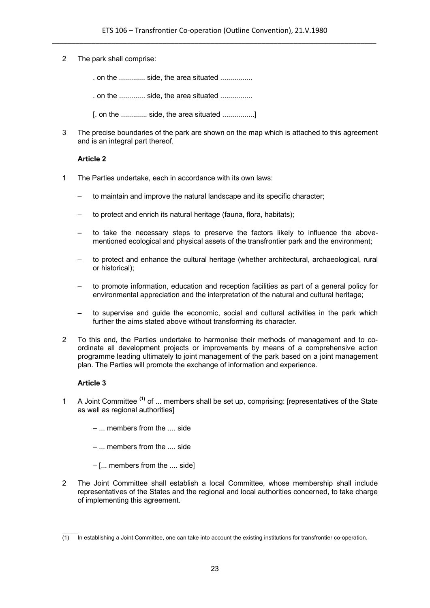#### 2 The park shall comprise:

. on the ............. side, the area situated ................

. on the ............. side, the area situated ................

[. on the ............. side, the area situated ................]

3 The precise boundaries of the park are shown on the map which is attached to this agreement and is an integral part thereof.

# **Article 2**

- 1 The Parties undertake, each in accordance with its own laws:
	- to maintain and improve the natural landscape and its specific character;
	- to protect and enrich its natural heritage (fauna, flora, habitats);
	- to take the necessary steps to preserve the factors likely to influence the abovementioned ecological and physical assets of the transfrontier park and the environment;
	- to protect and enhance the cultural heritage (whether architectural, archaeological, rural or historical);
	- to promote information, education and reception facilities as part of a general policy for environmental appreciation and the interpretation of the natural and cultural heritage;
	- to supervise and guide the economic, social and cultural activities in the park which further the aims stated above without transforming its character.
- 2 To this end, the Parties undertake to harmonise their methods of management and to coordinate all development projects or improvements by means of a comprehensive action programme leading ultimately to joint management of the park based on a joint management plan. The Parties will promote the exchange of information and experience.

- 1 A Joint Committee **(1)** of ... members shall be set up, comprising: [representatives of the State as well as regional authorities]
	- ... members from the .... side
	- ... members from the .... side
	- [... members from the .... side]
- 2 The Joint Committee shall establish a local Committee, whose membership shall include representatives of the States and the regional and local authorities concerned, to take charge of implementing this agreement.

 $\mathcal{L}$  $(1)$  In establishing a Joint Committee, one can take into account the existing institutions for transfrontier co-operation.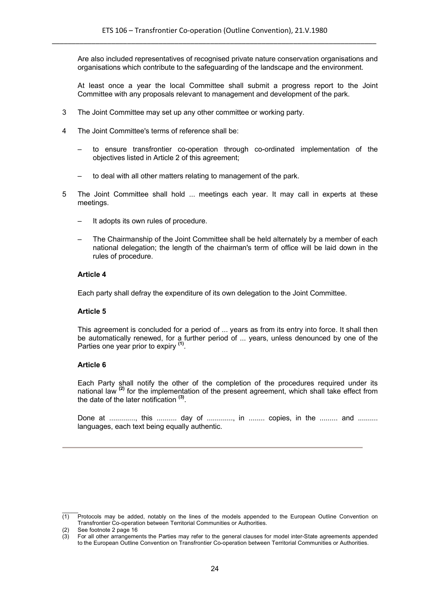Are also included representatives of recognised private nature conservation organisations and organisations which contribute to the safeguarding of the landscape and the environment.

At least once a year the local Committee shall submit a progress report to the Joint Committee with any proposals relevant to management and development of the park.

- 3 The Joint Committee may set up any other committee or working party.
- 4 The Joint Committee's terms of reference shall be:
	- to ensure transfrontier co-operation through co-ordinated implementation of the objectives listed in Article 2 of this agreement;
	- to deal with all other matters relating to management of the park.
- 5 The Joint Committee shall hold ... meetings each year. It may call in experts at these meetings.
	- It adopts its own rules of procedure.
	- The Chairmanship of the Joint Committee shall be held alternately by a member of each national delegation; the length of the chairman's term of office will be laid down in the rules of procedure.

#### **Article 4**

Each party shall defray the expenditure of its own delegation to the Joint Committee.

## **Article 5**

This agreement is concluded for a period of ... years as from its entry into force. It shall then be automatically renewed, for a further period of ... years, unless denounced by one of the Parties one year prior to expiry **(1)** .

## **Article 6**

Each Party shall notify the other of the completion of the procedures required under its national law <sup>(2)</sup> for the implementation of the present agreement, which shall take effect from the date of the later notification **(3)** .

Done at ............., this ........... day of .............., in ........ copies, in the ......... and ......... languages, each text being equally authentic.

 $\mathcal{L}$ 

<sup>(1)</sup> Protocols may be added, notably on the lines of the models appended to the European Outline Convention on Transfrontier Co-operation between Territorial Communities or Authorities.

<sup>(2)</sup> See footnote 2 page 16

<sup>(3)</sup> For all other arrangements the Parties may refer to the general clauses for model inter-State agreements appended to the European Outline Convention on Transfrontier Co-operation between Territorial Communities or Authorities.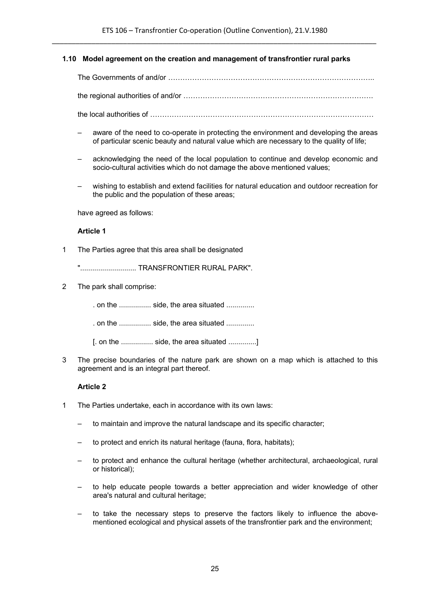## **1.10 Model agreement on the creation and management of transfrontier rural parks**

The Governments of and/or …………………………………………………………………………..

the regional authorities of and/or …………………………………………………………………….

- the local authorities of …………………………………………………………………………………
- aware of the need to co-operate in protecting the environment and developing the areas of particular scenic beauty and natural value which are necessary to the quality of life;
- acknowledging the need of the local population to continue and develop economic and socio-cultural activities which do not damage the above mentioned values;
- wishing to establish and extend facilities for natural education and outdoor recreation for the public and the population of these areas;

have agreed as follows:

#### **Article 1**

1 The Parties agree that this area shall be designated

"............................ TRANSFRONTIER RURAL PARK".

2 The park shall comprise:

. on the ................ side, the area situated ..............

. on the ................ side, the area situated ..............

[. on the ................ side, the area situated ..............]

3 The precise boundaries of the nature park are shown on a map which is attached to this agreement and is an integral part thereof.

- 1 The Parties undertake, each in accordance with its own laws:
	- to maintain and improve the natural landscape and its specific character;
	- to protect and enrich its natural heritage (fauna, flora, habitats);
	- to protect and enhance the cultural heritage (whether architectural, archaeological, rural or historical);
	- to help educate people towards a better appreciation and wider knowledge of other area's natural and cultural heritage;
	- to take the necessary steps to preserve the factors likely to influence the abovementioned ecological and physical assets of the transfrontier park and the environment;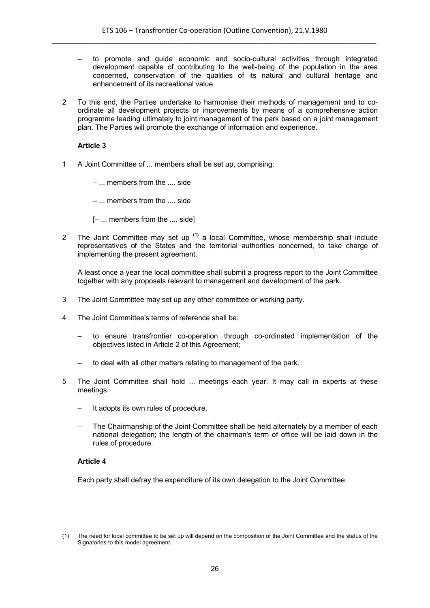- to promote and guide economic and socio-cultural activities through integrated development capable of contributing to the well-being of the population in the area concerned, conservation of the qualities of its natural and cultural heritage and enhancement of its recreational value.
- 2 To this end, the Parties undertake to harmonise their methods of management and to coordinate all development projects or improvements by means of a comprehensive action programme leading ultimately to joint management of the park based on a joint management plan. The Parties will promote the exchange of information and experience.

1 A Joint Committee of ... members shall be set up, comprising:

– ... members from the .... side

– ... members from the .... side

[– ... members from the .... side]

2 The Joint Committee may set up **(1)** a local Committee, whose membership shall include representatives of the States and the territorial authorities concerned, to take charge of implementing the present agreement.

A least once a year the local committee shall submit a progress report to the Joint Committee together with any proposals relevant to management and development of the park.

- 3 The Joint Committee may set up any other committee or working party.
- 4 The Joint Committee's terms of reference shall be:
	- to ensure transfrontier co-operation through co-ordinated implementation of the objectives listed in Article 2 of this Agreement;
	- to deal with all other matters relating to management of the park.
- 5 The Joint Committee shall hold ... meetings each year. It may call in experts at these meetings.
	- It adopts its own rules of procedure.
	- The Chairmanship of the Joint Committee shall be held alternately by a member of each national delegation; the length of the chairman's term of office will be laid down in the rules of procedure.

## **Article 4**

 $\mathcal{L}$ 

Each party shall defray the expenditure of its own delegation to the Joint Committee.

 $(1)$  The need for local committee to be set up will depend on the composition of the Joint Committee and the status of the Signatories to this model agreement.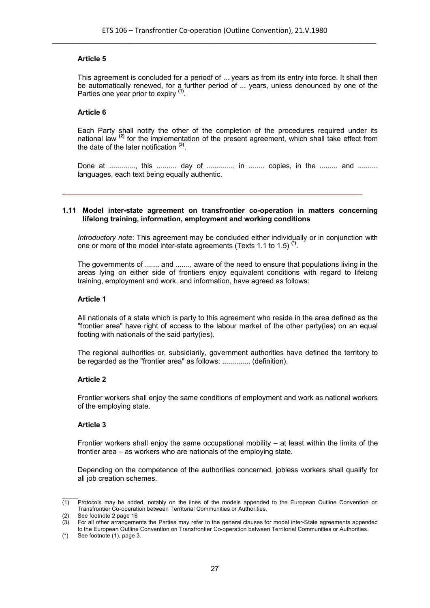This agreement is concluded for a periodf of ... years as from its entry into force. It shall then be automatically renewed, for a further period of ... years, unless denounced by one of the Parties one year prior to expiry **(1)** .

# **Article 6**

Each Party shall notify the other of the completion of the procedures required under its national law **(2)** for the implementation of the present agreement, which shall take effect from the date of the later notification **(3)** .

Done at ............., this .......... day of .............., in ........ copies, in the ......... and ......... languages, each text being equally authentic.

#### **1.11 Model inter-state agreement on transfrontier co-operation in matters concerning lifelong training, information, employment and working conditions**

*Introductory note*: This agreement may be concluded either individually or in conjunction with one or more of the model inter-state agreements (Texts 1.1 to 1.5) **(\*)** .

The governments of ....... and ......., aware of the need to ensure that populations living in the areas lying on either side of frontiers enjoy equivalent conditions with regard to lifelong training, employment and work, and information, have agreed as follows:

## **Article 1**

All nationals of a state which is party to this agreement who reside in the area defined as the "frontier area" have right of access to the labour market of the other party(ies) on an equal footing with nationals of the said party(ies).

The regional authorities or, subsidiarily, government authorities have defined the territory to be regarded as the "frontier area" as follows: .............. (definition).

## **Article 2**

Frontier workers shall enjoy the same conditions of employment and work as national workers of the employing state.

## **Article 3**

Frontier workers shall enjoy the same occupational mobility – at least within the limits of the frontier area – as workers who are nationals of the employing state.

Depending on the competence of the authorities concerned, jobless workers shall qualify for all job creation schemes.

 $\mathcal{L}$  $(1)$  Protocols may be added, notably on the lines of the models appended to the European Outline Convention on Transfrontier Co-operation between Territorial Communities or Authorities.

<sup>(2)</sup> See footnote 2 page 16

<sup>(3)</sup> For all other arrangements the Parties may refer to the general clauses for model inter-State agreements appended to the European Outline Convention on Transfrontier Co-operation between Territorial Communities or Authorities.

 $(*)$  See footnote  $(1)$ , page 3.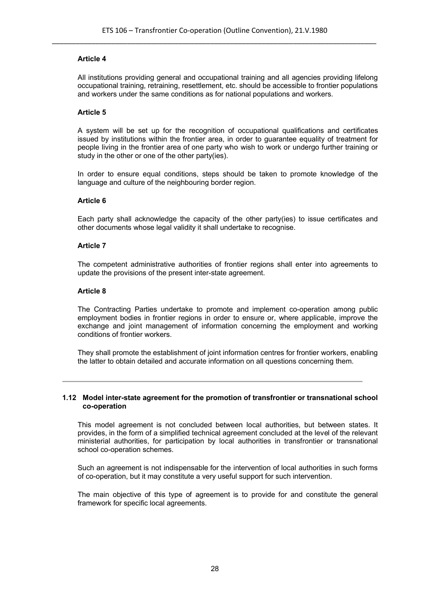All institutions providing general and occupational training and all agencies providing lifelong occupational training, retraining, resettlement, etc. should be accessible to frontier populations and workers under the same conditions as for national populations and workers.

#### **Article 5**

A system will be set up for the recognition of occupational qualifications and certificates issued by institutions within the frontier area, in order to guarantee equality of treatment for people living in the frontier area of one party who wish to work or undergo further training or study in the other or one of the other party(ies).

In order to ensure equal conditions, steps should be taken to promote knowledge of the language and culture of the neighbouring border region.

#### **Article 6**

Each party shall acknowledge the capacity of the other party(ies) to issue certificates and other documents whose legal validity it shall undertake to recognise.

#### **Article 7**

The competent administrative authorities of frontier regions shall enter into agreements to update the provisions of the present inter-state agreement.

#### **Article 8**

The Contracting Parties undertake to promote and implement co-operation among public employment bodies in frontier regions in order to ensure or, where applicable, improve the exchange and joint management of information concerning the employment and working conditions of frontier workers.

They shall promote the establishment of joint information centres for frontier workers, enabling the latter to obtain detailed and accurate information on all questions concerning them.

#### **1.12 Model inter-state agreement for the promotion of transfrontier or transnational school co-operation**

This model agreement is not concluded between local authorities, but between states. It provides, in the form of a simplified technical agreement concluded at the level of the relevant ministerial authorities, for participation by local authorities in transfrontier or transnational school co-operation schemes.

Such an agreement is not indispensable for the intervention of local authorities in such forms of co-operation, but it may constitute a very useful support for such intervention.

The main objective of this type of agreement is to provide for and constitute the general framework for specific local agreements.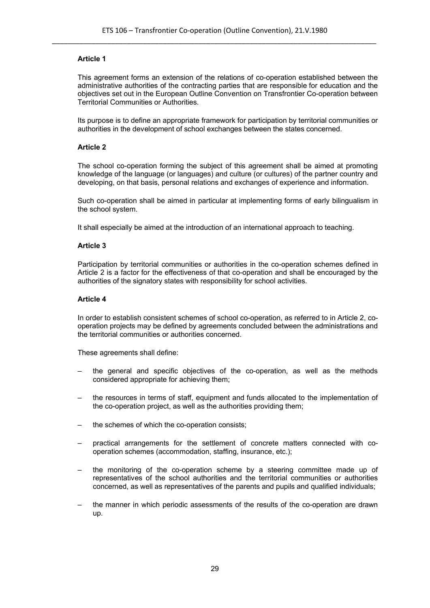This agreement forms an extension of the relations of co-operation established between the administrative authorities of the contracting parties that are responsible for education and the objectives set out in the European Outline Convention on Transfrontier Co-operation between Territorial Communities or Authorities.

Its purpose is to define an appropriate framework for participation by territorial communities or authorities in the development of school exchanges between the states concerned.

# **Article 2**

The school co-operation forming the subject of this agreement shall be aimed at promoting knowledge of the language (or languages) and culture (or cultures) of the partner country and developing, on that basis, personal relations and exchanges of experience and information.

Such co-operation shall be aimed in particular at implementing forms of early bilingualism in the school system.

It shall especially be aimed at the introduction of an international approach to teaching.

## **Article 3**

Participation by territorial communities or authorities in the co-operation schemes defined in Article 2 is a factor for the effectiveness of that co-operation and shall be encouraged by the authorities of the signatory states with responsibility for school activities.

## **Article 4**

In order to establish consistent schemes of school co-operation, as referred to in Article 2, cooperation projects may be defined by agreements concluded between the administrations and the territorial communities or authorities concerned.

These agreements shall define:

- the general and specific objectives of the co-operation, as well as the methods considered appropriate for achieving them;
- the resources in terms of staff, equipment and funds allocated to the implementation of the co-operation project, as well as the authorities providing them;
- the schemes of which the co-operation consists:
- practical arrangements for the settlement of concrete matters connected with cooperation schemes (accommodation, staffing, insurance, etc.);
- the monitoring of the co-operation scheme by a steering committee made up of representatives of the school authorities and the territorial communities or authorities concerned, as well as representatives of the parents and pupils and qualified individuals;
- the manner in which periodic assessments of the results of the co-operation are drawn up.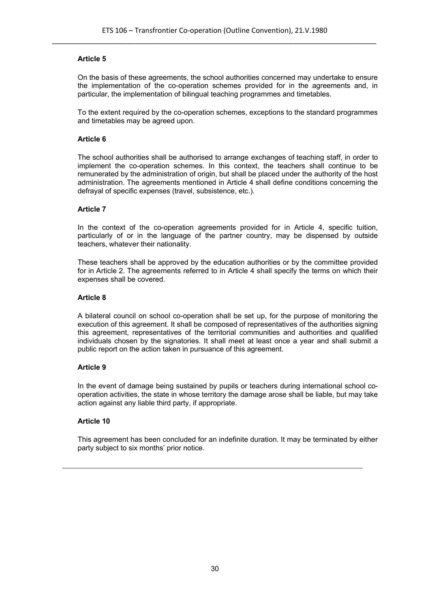On the basis of these agreements, the school authorities concerned may undertake to ensure the implementation of the co-operation schemes provided for in the agreements and, in particular, the implementation of bilingual teaching programmes and timetables.

To the extent required by the co-operation schemes, exceptions to the standard programmes and timetables may be agreed upon.

## **Article 6**

The school authorities shall be authorised to arrange exchanges of teaching staff, in order to implement the co-operation schemes. In this context, the teachers shall continue to be remunerated by the administration of origin, but shall be placed under the authority of the host administration. The agreements mentioned in Article 4 shall define conditions concerning the defrayal of specific expenses (travel, subsistence, etc.).

# **Article 7**

In the context of the co-operation agreements provided for in Article 4, specific tuition, particularly of or in the language of the partner country, may be dispensed by outside teachers, whatever their nationality.

These teachers shall be approved by the education authorities or by the committee provided for in Article 2. The agreements referred to in Article 4 shall specify the terms on which their expenses shall be covered.

# **Article 8**

A bilateral council on school co-operation shall be set up, for the purpose of monitoring the execution of this agreement. It shall be composed of representatives of the authorities signing this agreement, representatives of the territorial communities and authorities and qualified individuals chosen by the signatories. It shall meet at least once a year and shall submit a public report on the action taken in pursuance of this agreement.

## **Article 9**

In the event of damage being sustained by pupils or teachers during international school cooperation activities, the state in whose territory the damage arose shall be liable, but may take action against any liable third party, if appropriate.

## **Article 10**

This agreement has been concluded for an indefinite duration. It may be terminated by either party subject to six months' prior notice.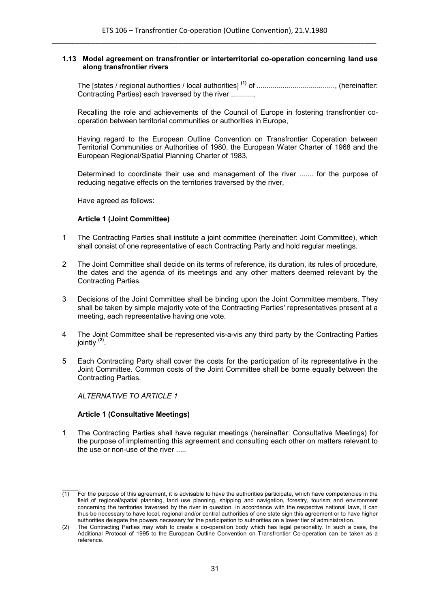#### **1.13 Model agreement on transfrontier or interterritorial co-operation concerning land use along transfrontier rivers**

The [states / regional authorities / local authorities] **(1)** of ......................................., (hereinafter: Contracting Parties) each traversed by the river ...........,

Recalling the role and achievements of the Council of Europe in fostering transfrontier cooperation between territorial communities or authorities in Europe,

Having regard to the European Outline Convention on Transfrontier Coperation between Territorial Communities or Authorities of 1980, the European Water Charter of 1968 and the European Regional/Spatial Planning Charter of 1983,

Determined to coordinate their use and management of the river ....... for the purpose of reducing negative effects on the territories traversed by the river,

Have agreed as follows:

# **Article 1 (Joint Committee)**

- 1 The Contracting Parties shall institute a joint committee (hereinafter: Joint Committee), which shall consist of one representative of each Contracting Party and hold regular meetings.
- 2 The Joint Committee shall decide on its terms of reference, its duration, its rules of procedure, the dates and the agenda of its meetings and any other matters deemed relevant by the Contracting Parties.
- 3 Decisions of the Joint Committee shall be binding upon the Joint Committee members. They shall be taken by simple majority vote of the Contracting Parties' representatives present at a meeting, each representative having one vote.
- 4 The Joint Committee shall be represented vis-a-vis any third party by the Contracting Parties jointly **(2)** .
- 5 Each Contracting Party shall cover the costs for the participation of its representative in the Joint Committee. Common costs of the Joint Committee shall be borne equally between the Contracting Parties.

*ALTERNATIVE TO ARTICLE 1*

 $\mathcal{L}$ 

# **Article 1 (Consultative Meetings)**

1 The Contracting Parties shall have regular meetings (hereinafter: Consultative Meetings) for the purpose of implementing this agreement and consulting each other on matters relevant to the use or non-use of the river .....

 $(1)$  For the purpose of this agreement, it is advisable to have the authorities participate, which have competencies in the field of regional/spatial planning, land use planning, shipping and navigation, forestry, tourism and environment concerning the territories traversed by the river in question. In accordance with the respective national laws, it can thus be necessary to have local, regional and/or central authorities of one state sign this agreement or to have higher authorities delegate the powers necessary for the participation to authorities on a lower tier of administration.

<sup>(2)</sup> The Contracting Parties may wish to create a co-operation body which has legal personality. In such a case, the Additional Protocol of 1995 to the European Outline Convention on Transfrontier Co-operation can be taken as a reference.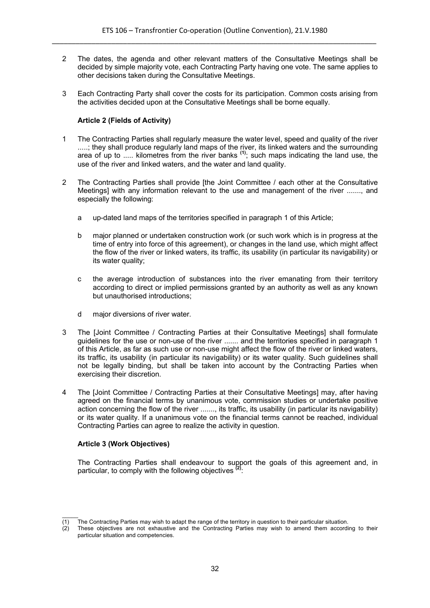- 2 The dates, the agenda and other relevant matters of the Consultative Meetings shall be decided by simple majority vote, each Contracting Party having one vote. The same applies to other decisions taken during the Consultative Meetings.
- 3 Each Contracting Party shall cover the costs for its participation. Common costs arising from the activities decided upon at the Consultative Meetings shall be borne equally.

# **Article 2 (Fields of Activity)**

- 1 The Contracting Parties shall regularly measure the water level, speed and quality of the river .....; they shall produce regularly land maps of the river, its linked waters and the surrounding area of up to ..... kilometres from the river banks **(1)**; such maps indicating the land use, the use of the river and linked waters, and the water and land quality.
- 2 The Contracting Parties shall provide [the Joint Committee / each other at the Consultative Meetings] with any information relevant to the use and management of the river ......., and especially the following:
	- a up-dated land maps of the territories specified in paragraph 1 of this Article;
	- b major planned or undertaken construction work (or such work which is in progress at the time of entry into force of this agreement), or changes in the land use, which might affect the flow of the river or linked waters, its traffic, its usability (in particular its navigability) or its water quality;
	- c the average introduction of substances into the river emanating from their territory according to direct or implied permissions granted by an authority as well as any known but unauthorised introductions;
	- d major diversions of river water.
- 3 The [Joint Committee / Contracting Parties at their Consultative Meetings] shall formulate guidelines for the use or non-use of the river ....... and the territories specified in paragraph 1 of this Article, as far as such use or non-use might affect the flow of the river or linked waters, its traffic, its usability (in particular its navigability) or its water quality. Such guidelines shall not be legally binding, but shall be taken into account by the Contracting Parties when exercising their discretion.
- 4 The [Joint Committee / Contracting Parties at their Consultative Meetings] may, after having agreed on the financial terms by unanimous vote, commission studies or undertake positive action concerning the flow of the river ......., its traffic, its usability (in particular its navigability) or its water quality. If a unanimous vote on the financial terms cannot be reached, individual Contracting Parties can agree to realize the activity in question.

## **Article 3 (Work Objectives)**

The Contracting Parties shall endeavour to support the goals of this agreement and, in particular, to comply with the following objectives **(2)**:

 $\mathcal{L}$  $\overline{(1)}$  The Contracting Parties may wish to adapt the range of the territory in question to their particular situation.

<sup>(2)</sup> These objectives are not exhaustive and the Contracting Parties may wish to amend them according to their particular situation and competencies.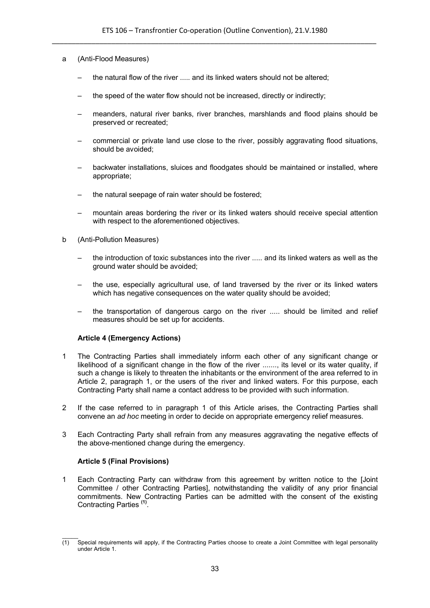- a (Anti-Flood Measures)
	- the natural flow of the river ..... and its linked waters should not be altered;
	- the speed of the water flow should not be increased, directly or indirectly;
	- meanders, natural river banks, river branches, marshlands and flood plains should be preserved or recreated;
	- commercial or private land use close to the river, possibly aggravating flood situations, should be avoided;
	- backwater installations, sluices and floodgates should be maintained or installed, where appropriate;
	- the natural seepage of rain water should be fostered;
	- mountain areas bordering the river or its linked waters should receive special attention with respect to the aforementioned objectives.
- b (Anti-Pollution Measures)
	- the introduction of toxic substances into the river ..... and its linked waters as well as the ground water should be avoided;
	- the use, especially agricultural use, of land traversed by the river or its linked waters which has negative consequences on the water quality should be avoided;
	- the transportation of dangerous cargo on the river ..... should be limited and relief measures should be set up for accidents.

# **Article 4 (Emergency Actions)**

- 1 The Contracting Parties shall immediately inform each other of any significant change or likelihood of a significant change in the flow of the river ......., its level or its water quality, if such a change is likely to threaten the inhabitants or the environment of the area referred to in Article 2, paragraph 1, or the users of the river and linked waters. For this purpose, each Contracting Party shall name a contact address to be provided with such information.
- 2 If the case referred to in paragraph 1 of this Article arises, the Contracting Parties shall convene an *ad hoc* meeting in order to decide on appropriate emergency relief measures.
- 3 Each Contracting Party shall refrain from any measures aggravating the negative effects of the above-mentioned change during the emergency.

## **Article 5 (Final Provisions)**

1 Each Contracting Party can withdraw from this agreement by written notice to the [Joint Committee / other Contracting Parties], notwithstanding the validity of any prior financial commitments. New Contracting Parties can be admitted with the consent of the existing Contracting Parties **(1)** .

 $\mathcal{L}$  $(1)$  Special requirements will apply, if the Contracting Parties choose to create a Joint Committee with legal personality under Article 1.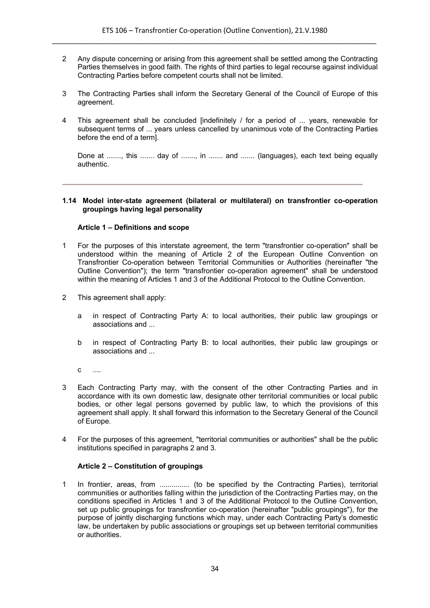- 2 Any dispute concerning or arising from this agreement shall be settled among the Contracting Parties themselves in good faith. The rights of third parties to legal recourse against individual Contracting Parties before competent courts shall not be limited.
- 3 The Contracting Parties shall inform the Secretary General of the Council of Europe of this agreement.
- 4 This agreement shall be concluded [indefinitely / for a period of ... years, renewable for subsequent terms of ... years unless cancelled by unanimous vote of the Contracting Parties before the end of a term].

Done at ......., this ....... day of ......., in ....... and ....... (languages), each text being equally authentic.

#### **1.14 Model inter-state agreement (bilateral or multilateral) on transfrontier co-operation groupings having legal personality**

#### **Article 1 – Definitions and scope**

- 1 For the purposes of this interstate agreement, the term "transfrontier co-operation" shall be understood within the meaning of Article 2 of the European Outline Convention on Transfrontier Co-operation between Territorial Communities or Authorities (hereinafter "the Outline Convention"); the term "transfrontier co-operation agreement" shall be understood within the meaning of Articles 1 and 3 of the Additional Protocol to the Outline Convention.
- 2 This agreement shall apply:
	- a in respect of Contracting Party A: to local authorities, their public law groupings or associations and ...
	- b in respect of Contracting Party B: to local authorities, their public law groupings or associations and ...
	- c ....
- 3 Each Contracting Party may, with the consent of the other Contracting Parties and in accordance with its own domestic law, designate other territorial communities or local public bodies, or other legal persons governed by public law, to which the provisions of this agreement shall apply. It shall forward this information to the Secretary General of the Council of Europe.
- 4 For the purposes of this agreement, "territorial communities or authorities" shall be the public institutions specified in paragraphs 2 and 3.

## **Article 2 – Constitution of groupings**

1 In frontier, areas, from ............... (to be specified by the Contracting Parties), territorial communities or authorities falling within the jurisdiction of the Contracting Parties may, on the conditions specified in Articles 1 and 3 of the Additional Protocol to the Outline Convention, set up public groupings for transfrontier co-operation (hereinafter "public groupings"), for the purpose of jointly discharging functions which may, under each Contracting Party's domestic law, be undertaken by public associations or groupings set up between territorial communities or authorities.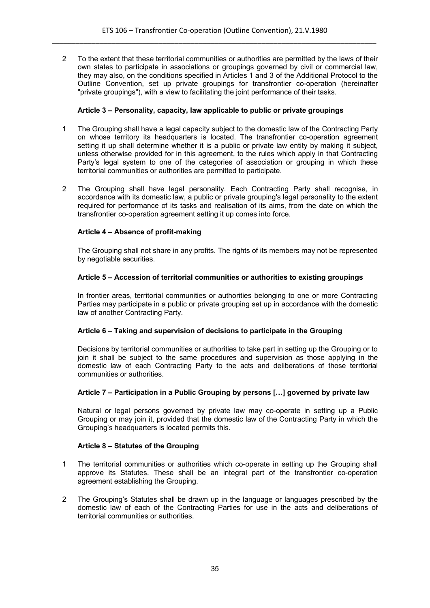2 To the extent that these territorial communities or authorities are permitted by the laws of their own states to participate in associations or groupings governed by civil or commercial law, they may also, on the conditions specified in Articles 1 and 3 of the Additional Protocol to the Outline Convention, set up private groupings for transfrontier co-operation (hereinafter "private groupings"), with a view to facilitating the joint performance of their tasks.

## **Article 3 – Personality, capacity, law applicable to public or private groupings**

- 1 The Grouping shall have a legal capacity subject to the domestic law of the Contracting Party on whose territory its headquarters is located. The transfrontier co-operation agreement setting it up shall determine whether it is a public or private law entity by making it subject, unless otherwise provided for in this agreement, to the rules which apply in that Contracting Party's legal system to one of the categories of association or grouping in which these territorial communities or authorities are permitted to participate.
- 2 The Grouping shall have legal personality. Each Contracting Party shall recognise, in accordance with its domestic law, a public or private grouping's legal personality to the extent required for performance of its tasks and realisation of its aims, from the date on which the transfrontier co-operation agreement setting it up comes into force.

# **Article 4 – Absence of profit-making**

The Grouping shall not share in any profits. The rights of its members may not be represented by negotiable securities.

## **Article 5 – Accession of territorial communities or authorities to existing groupings**

In frontier areas, territorial communities or authorities belonging to one or more Contracting Parties may participate in a public or private grouping set up in accordance with the domestic law of another Contracting Party.

## **Article 6 – Taking and supervision of decisions to participate in the Grouping**

Decisions by territorial communities or authorities to take part in setting up the Grouping or to join it shall be subject to the same procedures and supervision as those applying in the domestic law of each Contracting Party to the acts and deliberations of those territorial communities or authorities.

## **Article 7 – Participation in a Public Grouping by persons […] governed by private law**

Natural or legal persons governed by private law may co-operate in setting up a Public Grouping or may join it, provided that the domestic law of the Contracting Party in which the Grouping's headquarters is located permits this.

## **Article 8 – Statutes of the Grouping**

- 1 The territorial communities or authorities which co-operate in setting up the Grouping shall approve its Statutes. These shall be an integral part of the transfrontier co-operation agreement establishing the Grouping.
- 2 The Grouping's Statutes shall be drawn up in the language or languages prescribed by the domestic law of each of the Contracting Parties for use in the acts and deliberations of territorial communities or authorities.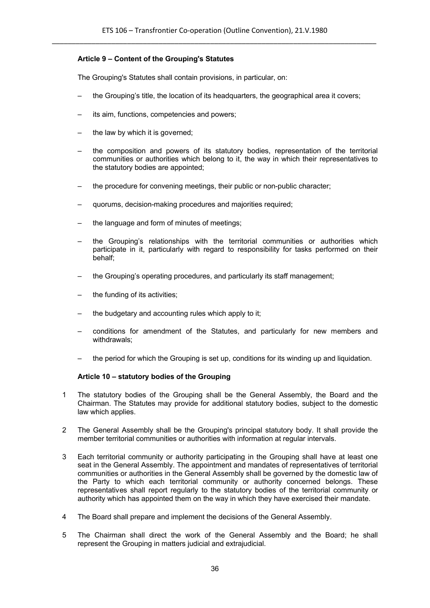# **Article 9 – Content of the Grouping's Statutes**

The Grouping's Statutes shall contain provisions, in particular, on:

- the Grouping's title, the location of its headquarters, the geographical area it covers;
- its aim, functions, competencies and powers;
- the law by which it is governed;
- the composition and powers of its statutory bodies, representation of the territorial communities or authorities which belong to it, the way in which their representatives to the statutory bodies are appointed;
- the procedure for convening meetings, their public or non-public character;
- quorums, decision-making procedures and majorities required;
- the language and form of minutes of meetings;
- the Grouping's relationships with the territorial communities or authorities which participate in it, particularly with regard to responsibility for tasks performed on their behalf;
- the Grouping's operating procedures, and particularly its staff management;
- the funding of its activities;
- the budgetary and accounting rules which apply to it;
- conditions for amendment of the Statutes, and particularly for new members and withdrawals;
- the period for which the Grouping is set up, conditions for its winding up and liquidation.

## **Article 10 – statutory bodies of the Grouping**

- 1 The statutory bodies of the Grouping shall be the General Assembly, the Board and the Chairman. The Statutes may provide for additional statutory bodies, subject to the domestic law which applies.
- 2 The General Assembly shall be the Grouping's principal statutory body. It shall provide the member territorial communities or authorities with information at regular intervals.
- 3 Each territorial community or authority participating in the Grouping shall have at least one seat in the General Assembly. The appointment and mandates of representatives of territorial communities or authorities in the General Assembly shall be governed by the domestic law of the Party to which each territorial community or authority concerned belongs. These representatives shall report regularly to the statutory bodies of the territorial community or authority which has appointed them on the way in which they have exercised their mandate.
- 4 The Board shall prepare and implement the decisions of the General Assembly.
- 5 The Chairman shall direct the work of the General Assembly and the Board; he shall represent the Grouping in matters judicial and extrajudicial.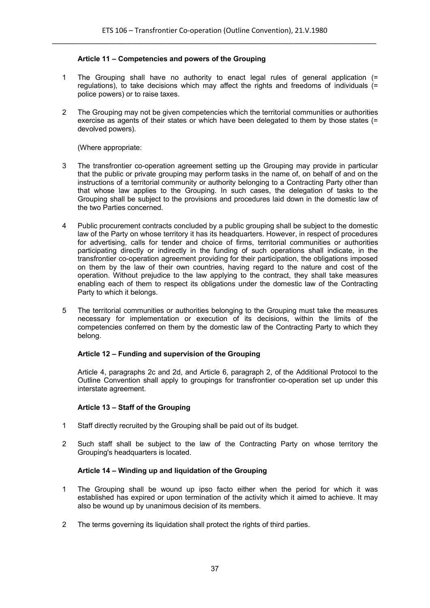## **Article 11 – Competencies and powers of the Grouping**

- 1 The Grouping shall have no authority to enact legal rules of general application (= regulations), to take decisions which may affect the rights and freedoms of individuals (= police powers) or to raise taxes.
- 2 The Grouping may not be given competencies which the territorial communities or authorities exercise as agents of their states or which have been delegated to them by those states (= devolved powers).

(Where appropriate:

- 3 The transfrontier co-operation agreement setting up the Grouping may provide in particular that the public or private grouping may perform tasks in the name of, on behalf of and on the instructions of a territorial community or authority belonging to a Contracting Party other than that whose law applies to the Grouping. In such cases, the delegation of tasks to the Grouping shall be subject to the provisions and procedures laid down in the domestic law of the two Parties concerned.
- 4 Public procurement contracts concluded by a public grouping shall be subject to the domestic law of the Party on whose territory it has its headquarters. However, in respect of procedures for advertising, calls for tender and choice of firms, territorial communities or authorities participating directly or indirectly in the funding of such operations shall indicate, in the transfrontier co-operation agreement providing for their participation, the obligations imposed on them by the law of their own countries, having regard to the nature and cost of the operation. Without prejudice to the law applying to the contract, they shall take measures enabling each of them to respect its obligations under the domestic law of the Contracting Party to which it belongs.
- 5 The territorial communities or authorities belonging to the Grouping must take the measures necessary for implementation or execution of its decisions, within the limits of the competencies conferred on them by the domestic law of the Contracting Party to which they belong.

#### **Article 12 – Funding and supervision of the Grouping**

Article 4, paragraphs 2c and 2d, and Article 6, paragraph 2, of the Additional Protocol to the Outline Convention shall apply to groupings for transfrontier co-operation set up under this interstate agreement.

#### **Article 13 – Staff of the Grouping**

- 1 Staff directly recruited by the Grouping shall be paid out of its budget.
- 2 Such staff shall be subject to the law of the Contracting Party on whose territory the Grouping's headquarters is located.

## **Article 14 – Winding up and liquidation of the Grouping**

- 1 The Grouping shall be wound up ipso facto either when the period for which it was established has expired or upon termination of the activity which it aimed to achieve. It may also be wound up by unanimous decision of its members.
- 2 The terms governing its liquidation shall protect the rights of third parties.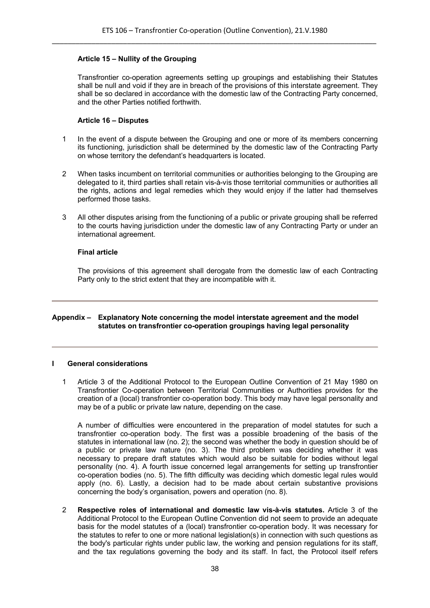## **Article 15 – Nullity of the Grouping**

Transfrontier co-operation agreements setting up groupings and establishing their Statutes shall be null and void if they are in breach of the provisions of this interstate agreement. They shall be so declared in accordance with the domestic law of the Contracting Party concerned, and the other Parties notified forthwith.

## **Article 16 – Disputes**

- 1 In the event of a dispute between the Grouping and one or more of its members concerning its functioning, jurisdiction shall be determined by the domestic law of the Contracting Party on whose territory the defendant's headquarters is located.
- 2 When tasks incumbent on territorial communities or authorities belonging to the Grouping are delegated to it, third parties shall retain vis-à-vis those territorial communities or authorities all the rights, actions and legal remedies which they would enjoy if the latter had themselves performed those tasks.
- 3 All other disputes arising from the functioning of a public or private grouping shall be referred to the courts having jurisdiction under the domestic law of any Contracting Party or under an international agreement.

#### **Final article**

The provisions of this agreement shall derogate from the domestic law of each Contracting Party only to the strict extent that they are incompatible with it.

#### **Appendix – Explanatory Note concerning the model interstate agreement and the model statutes on transfrontier co-operation groupings having legal personality**

#### **I General considerations**

1 Article 3 of the Additional Protocol to the European Outline Convention of 21 May 1980 on Transfrontier Co-operation between Territorial Communities or Authorities provides for the creation of a (local) transfrontier co-operation body. This body may have legal personality and may be of a public or private law nature, depending on the case.

A number of difficulties were encountered in the preparation of model statutes for such a transfrontier co-operation body. The first was a possible broadening of the basis of the statutes in international law (no. 2); the second was whether the body in question should be of a public or private law nature (no. 3). The third problem was deciding whether it was necessary to prepare draft statutes which would also be suitable for bodies without legal personality (no. 4). A fourth issue concerned legal arrangements for setting up transfrontier co-operation bodies (no. 5). The fifth difficulty was deciding which domestic legal rules would apply (no. 6). Lastly, a decision had to be made about certain substantive provisions concerning the body's organisation, powers and operation (no. 8).

2 **Respective roles of international and domestic law vis-à-vis statutes.** Article 3 of the Additional Protocol to the European Outline Convention did not seem to provide an adequate basis for the model statutes of a (local) transfrontier co-operation body. It was necessary for the statutes to refer to one or more national legislation(s) in connection with such questions as the body's particular rights under public law, the working and pension regulations for its staff, and the tax regulations governing the body and its staff. In fact, the Protocol itself refers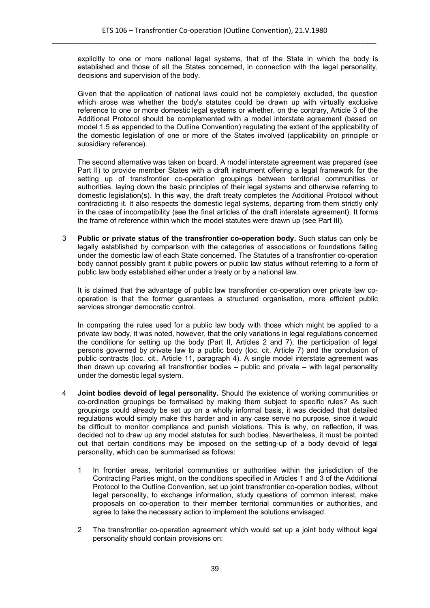explicitly to one or more national legal systems, that of the State in which the body is established and those of all the States concerned, in connection with the legal personality, decisions and supervision of the body.

Given that the application of national laws could not be completely excluded, the question which arose was whether the body's statutes could be drawn up with virtually exclusive reference to one or more domestic legal systems or whether, on the contrary, Article 3 of the Additional Protocol should be complemented with a model interstate agreement (based on model 1.5 as appended to the Outline Convention) regulating the extent of the applicability of the domestic legislation of one or more of the States involved (applicability on principle or subsidiary reference).

The second alternative was taken on board. A model interstate agreement was prepared (see Part II) to provide member States with a draft instrument offering a legal framework for the setting up of transfrontier co-operation groupings between territorial communities or authorities, laying down the basic principles of their legal systems and otherwise referring to domestic legislation(s). In this way, the draft treaty completes the Additional Protocol without contradicting it. It also respects the domestic legal systems, departing from them strictly only in the case of incompatibility (see the final articles of the draft interstate agreement). It forms the frame of reference within which the model statutes were drawn up (see Part III).

3 **Public or private status of the transfrontier co-operation body.** Such status can only be legally established by comparison with the categories of associations or foundations falling under the domestic law of each State concerned. The Statutes of a transfrontier co-operation body cannot possibly grant it public powers or public law status without referring to a form of public law body established either under a treaty or by a national law.

It is claimed that the advantage of public law transfrontier co-operation over private law cooperation is that the former guarantees a structured organisation, more efficient public services stronger democratic control.

In comparing the rules used for a public law body with those which might be applied to a private law body, it was noted, however, that the only variations in legal regulations concerned the conditions for setting up the body (Part II, Articles 2 and 7), the participation of legal persons governed by private law to a public body (loc. cit. Article 7) and the conclusion of public contracts (loc. cit., Article 11, paragraph 4). A single model interstate agreement was then drawn up covering all transfrontier bodies – public and private – with legal personality under the domestic legal system.

- 4 **Joint bodies devoid of legal personality.** Should the existence of working communities or co-ordination groupings be formalised by making them subject to specific rules? As such groupings could already be set up on a wholly informal basis, it was decided that detailed regulations would simply make this harder and in any case serve no purpose, since it would be difficult to monitor compliance and punish violations. This is why, on reflection, it was decided not to draw up any model statutes for such bodies. Nevertheless, it must be pointed out that certain conditions may be imposed on the setting-up of a body devoid of legal personality, which can be summarised as follows:
	- 1 In frontier areas, territorial communities or authorities within the jurisdiction of the Contracting Parties might, on the conditions specified in Articles 1 and 3 of the Additional Protocol to the Outline Convention, set up joint transfrontier co-operation bodies, without legal personality, to exchange information, study questions of common interest, make proposals on co-operation to their member territorial communities or authorities, and agree to take the necessary action to implement the solutions envisaged.
	- 2 The transfrontier co-operation agreement which would set up a joint body without legal personality should contain provisions on: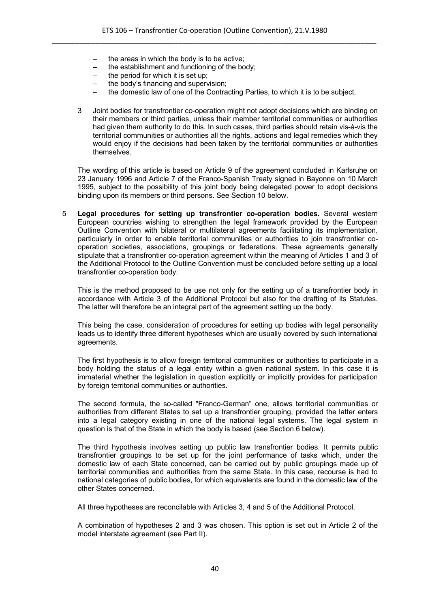- the areas in which the body is to be active:
- the establishment and functioning of the body;
- the period for which it is set up;
- the body's financing and supervision:
- the domestic law of one of the Contracting Parties, to which it is to be subject.
- 3 Joint bodies for transfrontier co-operation might not adopt decisions which are binding on their members or third parties, unless their member territorial communities or authorities had given them authority to do this. In such cases, third parties should retain vis-à-vis the territorial communities or authorities all the rights, actions and legal remedies which they would enjoy if the decisions had been taken by the territorial communities or authorities themselves.

The wording of this article is based on Article 9 of the agreement concluded in Karlsruhe on 23 January 1996 and Article 7 of the Franco-Spanish Treaty signed in Bayonne on 10 March 1995, subject to the possibility of this joint body being delegated power to adopt decisions binding upon its members or third persons. See Section 10 below.

5 **Legal procedures for setting up transfrontier co-operation bodies.** Several western European countries wishing to strengthen the legal framework provided by the European Outline Convention with bilateral or multilateral agreements facilitating its implementation, particularly in order to enable territorial communities or authorities to join transfrontier cooperation societies, associations, groupings or federations. These agreements generally stipulate that a transfrontier co-operation agreement within the meaning of Articles 1 and 3 of the Additional Protocol to the Outline Convention must be concluded before setting up a local transfrontier co-operation body.

This is the method proposed to be use not only for the setting up of a transfrontier body in accordance with Article 3 of the Additional Protocol but also for the drafting of its Statutes. The latter will therefore be an integral part of the agreement setting up the body.

This being the case, consideration of procedures for setting up bodies with legal personality leads us to identify three different hypotheses which are usually covered by such international agreements.

The first hypothesis is to allow foreign territorial communities or authorities to participate in a body holding the status of a legal entity within a given national system. In this case it is immaterial whether the legislation in question explicitly or implicitly provides for participation by foreign territorial communities or authorities.

The second formula, the so-called "Franco-German" one, allows territorial communities or authorities from different States to set up a transfrontier grouping, provided the latter enters into a legal category existing in one of the national legal systems. The legal system in question is that of the State in which the body is based (see Section 6 below).

The third hypothesis involves setting up public law transfrontier bodies. It permits public transfrontier groupings to be set up for the joint performance of tasks which, under the domestic law of each State concerned, can be carried out by public groupings made up of territorial communities and authorities from the same State. In this case, recourse is had to national categories of public bodies, for which equivalents are found in the domestic law of the other States concerned.

All three hypotheses are reconcilable with Articles 3, 4 and 5 of the Additional Protocol.

A combination of hypotheses 2 and 3 was chosen. This option is set out in Article 2 of the model interstate agreement (see Part II).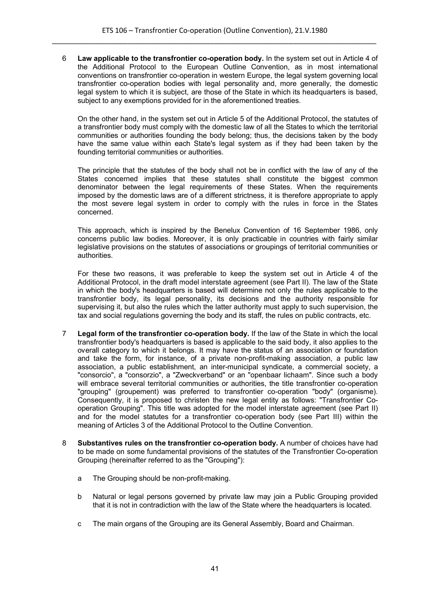6 **Law applicable to the transfrontier co-operation body.** In the system set out in Article 4 of the Additional Protocol to the European Outline Convention, as in most international conventions on transfrontier co-operation in western Europe, the legal system governing local transfrontier co-operation bodies with legal personality and, more generally, the domestic legal system to which it is subject, are those of the State in which its headquarters is based, subject to any exemptions provided for in the aforementioned treaties.

On the other hand, in the system set out in Article 5 of the Additional Protocol, the statutes of a transfrontier body must comply with the domestic law of all the States to which the territorial communities or authorities founding the body belong; thus, the decisions taken by the body have the same value within each State's legal system as if they had been taken by the founding territorial communities or authorities.

The principle that the statutes of the body shall not be in conflict with the law of any of the States concerned implies that these statutes shall constitute the biggest common denominator between the legal requirements of these States. When the requirements imposed by the domestic laws are of a different strictness, it is therefore appropriate to apply the most severe legal system in order to comply with the rules in force in the States concerned.

This approach, which is inspired by the Benelux Convention of 16 September 1986, only concerns public law bodies. Moreover, it is only practicable in countries with fairly similar legislative provisions on the statutes of associations or groupings of territorial communities or authorities.

For these two reasons, it was preferable to keep the system set out in Article 4 of the Additional Protocol, in the draft model interstate agreement (see Part II). The law of the State in which the body's headquarters is based will determine not only the rules applicable to the transfrontier body, its legal personality, its decisions and the authority responsible for supervising it, but also the rules which the latter authority must apply to such supervision, the tax and social regulations governing the body and its staff, the rules on public contracts, etc.

- 7 **Legal form of the transfrontier co-operation body.** If the law of the State in which the local transfrontier body's headquarters is based is applicable to the said body, it also applies to the overall category to which it belongs. It may have the status of an association or foundation and take the form, for instance, of a private non-profit-making association, a public law association, a public establishment, an inter-municipal syndicate, a commercial society, a "consorcio", a "consorzio", a "Zweckverband" or an "openbaar lichaam". Since such a body will embrace several territorial communities or authorities, the title transfrontier co-operation "grouping" (groupement) was preferred to transfrontier co-operation "body" (organisme). Consequently, it is proposed to christen the new legal entity as follows: "Transfrontier Cooperation Grouping". This title was adopted for the model interstate agreement (see Part II) and for the model statutes for a transfrontier co-operation body (see Part III) within the meaning of Articles 3 of the Additional Protocol to the Outline Convention.
- 8 **Substantives rules on the transfrontier co-operation body.** A number of choices have had to be made on some fundamental provisions of the statutes of the Transfrontier Co-operation Grouping (hereinafter referred to as the "Grouping"):
	- a The Grouping should be non-profit-making.
	- b Natural or legal persons governed by private law may join a Public Grouping provided that it is not in contradiction with the law of the State where the headquarters is located.
	- c The main organs of the Grouping are its General Assembly, Board and Chairman.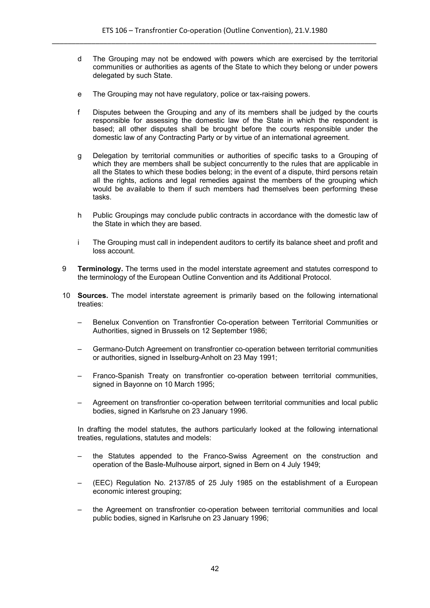- d The Grouping may not be endowed with powers which are exercised by the territorial communities or authorities as agents of the State to which they belong or under powers delegated by such State.
- e The Grouping may not have regulatory, police or tax-raising powers.
- f Disputes between the Grouping and any of its members shall be judged by the courts responsible for assessing the domestic law of the State in which the respondent is based; all other disputes shall be brought before the courts responsible under the domestic law of any Contracting Party or by virtue of an international agreement.
- g Delegation by territorial communities or authorities of specific tasks to a Grouping of which they are members shall be subject concurrently to the rules that are applicable in all the States to which these bodies belong; in the event of a dispute, third persons retain all the rights, actions and legal remedies against the members of the grouping which would be available to them if such members had themselves been performing these tasks.
- h Public Groupings may conclude public contracts in accordance with the domestic law of the State in which they are based.
- i The Grouping must call in independent auditors to certify its balance sheet and profit and loss account.
- 9 **Terminology.** The terms used in the model interstate agreement and statutes correspond to the terminology of the European Outline Convention and its Additional Protocol.
- 10 **Sources.** The model interstate agreement is primarily based on the following international treaties:
	- Benelux Convention on Transfrontier Co-operation between Territorial Communities or Authorities, signed in Brussels on 12 September 1986;
	- Germano-Dutch Agreement on transfrontier co-operation between territorial communities or authorities, signed in Isselburg-Anholt on 23 May 1991;
	- Franco-Spanish Treaty on transfrontier co-operation between territorial communities, signed in Bayonne on 10 March 1995;
	- Agreement on transfrontier co-operation between territorial communities and local public bodies, signed in Karlsruhe on 23 January 1996.

In drafting the model statutes, the authors particularly looked at the following international treaties, regulations, statutes and models:

- the Statutes appended to the Franco-Swiss Agreement on the construction and operation of the Basle-Mulhouse airport, signed in Bern on 4 July 1949;
- (EEC) Regulation No. 2137/85 of 25 July 1985 on the establishment of a European economic interest grouping;
- the Agreement on transfrontier co-operation between territorial communities and local public bodies, signed in Karlsruhe on 23 January 1996;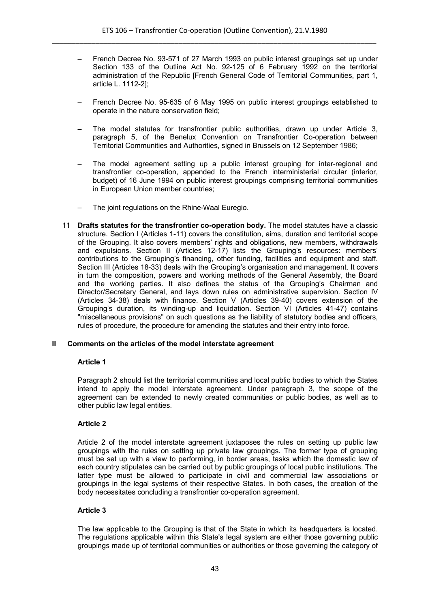- French Decree No. 93-571 of 27 March 1993 on public interest groupings set up under Section 133 of the Outline Act No. 92-125 of 6 February 1992 on the territorial administration of the Republic [French General Code of Territorial Communities, part 1, article L. 1112-2];
- French Decree No. 95-635 of 6 May 1995 on public interest groupings established to operate in the nature conservation field;
- The model statutes for transfrontier public authorities, drawn up under Article 3, paragraph 5, of the Benelux Convention on Transfrontier Co-operation between Territorial Communities and Authorities, signed in Brussels on 12 September 1986;
- The model agreement setting up a public interest grouping for inter-regional and transfrontier co-operation, appended to the French interministerial circular (interior, budget) of 16 June 1994 on public interest groupings comprising territorial communities in European Union member countries;
- The joint regulations on the Rhine-Waal Euregio.
- 11 **Drafts statutes for the transfrontier co-operation body.** The model statutes have a classic structure. Section I (Articles 1-11) covers the constitution, aims, duration and territorial scope of the Grouping. It also covers members' rights and obligations, new members, withdrawals and expulsions. Section II (Articles 12-17) lists the Grouping's resources: members' contributions to the Grouping's financing, other funding, facilities and equipment and staff. Section III (Articles 18-33) deals with the Grouping's organisation and management. It covers in turn the composition, powers and working methods of the General Assembly, the Board and the working parties. It also defines the status of the Grouping's Chairman and Director/Secretary General, and lays down rules on administrative supervision. Section IV (Articles 34-38) deals with finance. Section V (Articles 39-40) covers extension of the Grouping's duration, its winding-up and liquidation. Section VI (Articles 41-47) contains "miscellaneous provisions" on such questions as the liability of statutory bodies and officers, rules of procedure, the procedure for amending the statutes and their entry into force.

## **II Comments on the articles of the model interstate agreement**

## **Article 1**

Paragraph 2 should list the territorial communities and local public bodies to which the States intend to apply the model interstate agreement. Under paragraph 3, the scope of the agreement can be extended to newly created communities or public bodies, as well as to other public law legal entities.

# **Article 2**

Article 2 of the model interstate agreement juxtaposes the rules on setting up public law groupings with the rules on setting up private law groupings. The former type of grouping must be set up with a view to performing, in border areas, tasks which the domestic law of each country stipulates can be carried out by public groupings of local public institutions. The latter type must be allowed to participate in civil and commercial law associations or groupings in the legal systems of their respective States. In both cases, the creation of the body necessitates concluding a transfrontier co-operation agreement.

## **Article 3**

The law applicable to the Grouping is that of the State in which its headquarters is located. The regulations applicable within this State's legal system are either those governing public groupings made up of territorial communities or authorities or those governing the category of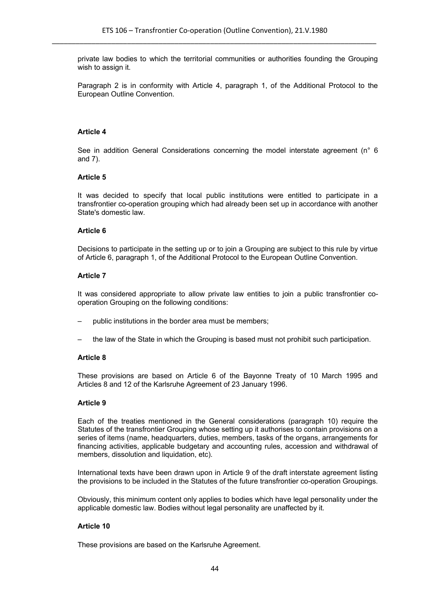private law bodies to which the territorial communities or authorities founding the Grouping wish to assign it.

Paragraph 2 is in conformity with Article 4, paragraph 1, of the Additional Protocol to the European Outline Convention.

#### **Article 4**

See in addition General Considerations concerning the model interstate agreement (n° 6 and 7).

#### **Article 5**

It was decided to specify that local public institutions were entitled to participate in a transfrontier co-operation grouping which had already been set up in accordance with another State's domestic law.

#### **Article 6**

Decisions to participate in the setting up or to join a Grouping are subject to this rule by virtue of Article 6, paragraph 1, of the Additional Protocol to the European Outline Convention.

#### **Article 7**

It was considered appropriate to allow private law entities to join a public transfrontier cooperation Grouping on the following conditions:

- public institutions in the border area must be members;
- the law of the State in which the Grouping is based must not prohibit such participation.

## **Article 8**

These provisions are based on Article 6 of the Bayonne Treaty of 10 March 1995 and Articles 8 and 12 of the Karlsruhe Agreement of 23 January 1996.

## **Article 9**

Each of the treaties mentioned in the General considerations (paragraph 10) require the Statutes of the transfrontier Grouping whose setting up it authorises to contain provisions on a series of items (name, headquarters, duties, members, tasks of the organs, arrangements for financing activities, applicable budgetary and accounting rules, accession and withdrawal of members, dissolution and liquidation, etc).

International texts have been drawn upon in Article 9 of the draft interstate agreement listing the provisions to be included in the Statutes of the future transfrontier co-operation Groupings.

Obviously, this minimum content only applies to bodies which have legal personality under the applicable domestic law. Bodies without legal personality are unaffected by it.

#### **Article 10**

These provisions are based on the Karlsruhe Agreement.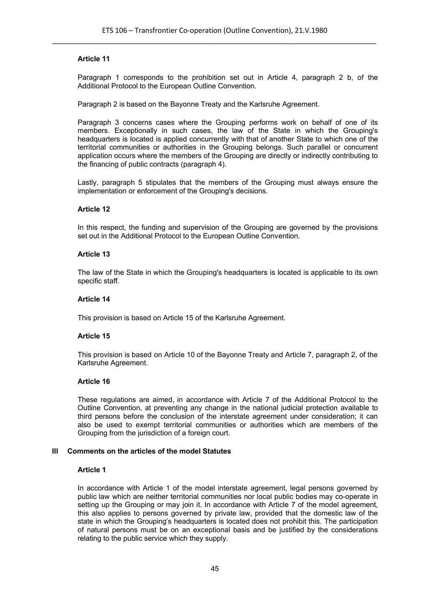Paragraph 1 corresponds to the prohibition set out in Article 4, paragraph 2 b, of the Additional Protocol to the European Outline Convention.

Paragraph 2 is based on the Bayonne Treaty and the Karlsruhe Agreement.

Paragraph 3 concerns cases where the Grouping performs work on behalf of one of its members. Exceptionally in such cases, the law of the State in which the Grouping's headquarters is located is applied concurrently with that of another State to which one of the territorial communities or authorities in the Grouping belongs. Such parallel or concurrent application occurs where the members of the Grouping are directly or indirectly contributing to the financing of public contracts (paragraph 4).

Lastly, paragraph 5 stipulates that the members of the Grouping must always ensure the implementation or enforcement of the Grouping's decisions.

#### **Article 12**

In this respect, the funding and supervision of the Grouping are governed by the provisions set out in the Additional Protocol to the European Outline Convention.

#### **Article 13**

The law of the State in which the Grouping's headquarters is located is applicable to its own specific staff.

#### **Article 14**

This provision is based on Article 15 of the Karlsruhe Agreement.

## **Article 15**

This provision is based on Article 10 of the Bayonne Treaty and Article 7, paragraph 2, of the Karlsruhe Agreement.

#### **Article 16**

These regulations are aimed, in accordance with Article 7 of the Additional Protocol to the Outline Convention, at preventing any change in the national judicial protection available to third persons before the conclusion of the interstate agreement under consideration; it can also be used to exempt territorial communities or authorities which are members of the Grouping from the jurisdiction of a foreign court.

## **III Comments on the articles of the model Statutes**

#### **Article 1**

In accordance with Article 1 of the model interstate agreement, legal persons governed by public law which are neither territorial communities nor local public bodies may co-operate in setting up the Grouping or may join it. In accordance with Article 7 of the model agreement, this also applies to persons governed by private law, provided that the domestic law of the state in which the Grouping's headquarters is located does not prohibit this. The participation of natural persons must be on an exceptional basis and be justified by the considerations relating to the public service which they supply.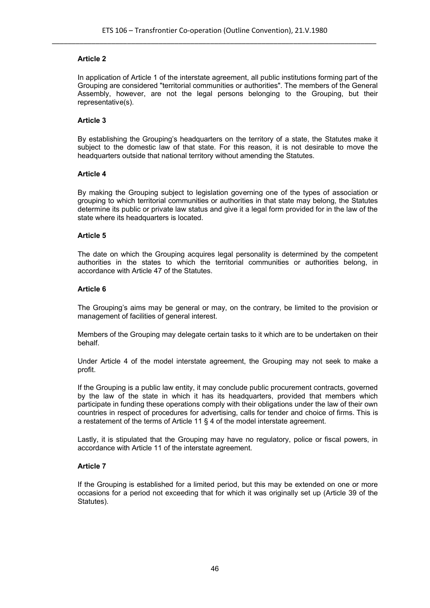In application of Article 1 of the interstate agreement, all public institutions forming part of the Grouping are considered "territorial communities or authorities". The members of the General Assembly, however, are not the legal persons belonging to the Grouping, but their representative(s).

# **Article 3**

By establishing the Grouping's headquarters on the territory of a state, the Statutes make it subject to the domestic law of that state. For this reason, it is not desirable to move the headquarters outside that national territory without amending the Statutes.

## **Article 4**

By making the Grouping subject to legislation governing one of the types of association or grouping to which territorial communities or authorities in that state may belong, the Statutes determine its public or private law status and give it a legal form provided for in the law of the state where its headquarters is located.

## **Article 5**

The date on which the Grouping acquires legal personality is determined by the competent authorities in the states to which the territorial communities or authorities belong, in accordance with Article 47 of the Statutes.

## **Article 6**

The Grouping's aims may be general or may, on the contrary, be limited to the provision or management of facilities of general interest.

Members of the Grouping may delegate certain tasks to it which are to be undertaken on their behalf.

Under Article 4 of the model interstate agreement, the Grouping may not seek to make a profit.

If the Grouping is a public law entity, it may conclude public procurement contracts, governed by the law of the state in which it has its headquarters, provided that members which participate in funding these operations comply with their obligations under the law of their own countries in respect of procedures for advertising, calls for tender and choice of firms. This is a restatement of the terms of Article 11 § 4 of the model interstate agreement.

Lastly, it is stipulated that the Grouping may have no regulatory, police or fiscal powers, in accordance with Article 11 of the interstate agreement.

## **Article 7**

If the Grouping is established for a limited period, but this may be extended on one or more occasions for a period not exceeding that for which it was originally set up (Article 39 of the Statutes).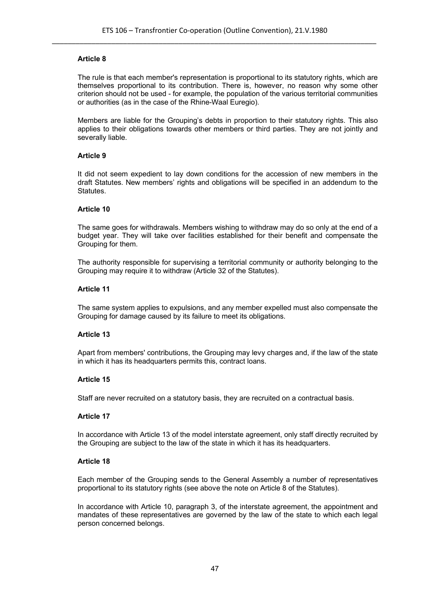The rule is that each member's representation is proportional to its statutory rights, which are themselves proportional to its contribution. There is, however, no reason why some other criterion should not be used - for example, the population of the various territorial communities or authorities (as in the case of the Rhine-Waal Euregio).

Members are liable for the Grouping's debts in proportion to their statutory rights. This also applies to their obligations towards other members or third parties. They are not jointly and severally liable.

#### **Article 9**

It did not seem expedient to lay down conditions for the accession of new members in the draft Statutes. New members' rights and obligations will be specified in an addendum to the Statutes.

#### **Article 10**

The same goes for withdrawals. Members wishing to withdraw may do so only at the end of a budget year. They will take over facilities established for their benefit and compensate the Grouping for them.

The authority responsible for supervising a territorial community or authority belonging to the Grouping may require it to withdraw (Article 32 of the Statutes).

#### **Article 11**

The same system applies to expulsions, and any member expelled must also compensate the Grouping for damage caused by its failure to meet its obligations.

## **Article 13**

Apart from members' contributions, the Grouping may levy charges and, if the law of the state in which it has its headquarters permits this, contract loans.

#### **Article 15**

Staff are never recruited on a statutory basis, they are recruited on a contractual basis.

#### **Article 17**

In accordance with Article 13 of the model interstate agreement, only staff directly recruited by the Grouping are subject to the law of the state in which it has its headquarters.

#### **Article 18**

Each member of the Grouping sends to the General Assembly a number of representatives proportional to its statutory rights (see above the note on Article 8 of the Statutes).

In accordance with Article 10, paragraph 3, of the interstate agreement, the appointment and mandates of these representatives are governed by the law of the state to which each legal person concerned belongs.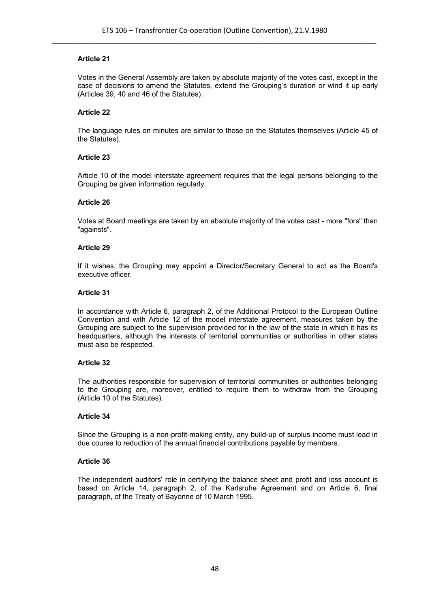Votes in the General Assembly are taken by absolute majority of the votes cast, except in the case of decisions to amend the Statutes, extend the Grouping's duration or wind it up early (Articles 39, 40 and 46 of the Statutes).

# **Article 22**

The language rules on minutes are similar to those on the Statutes themselves (Article 45 of the Statutes).

# **Article 23**

Article 10 of the model interstate agreement requires that the legal persons belonging to the Grouping be given information regularly.

## **Article 26**

Votes at Board meetings are taken by an absolute majority of the votes cast - more "fors" than "againsts".

## **Article 29**

If it wishes, the Grouping may appoint a Director/Secretary General to act as the Board's executive officer.

## **Article 31**

In accordance with Article 6, paragraph 2, of the Additional Protocol to the European Outline Convention and with Article 12 of the model interstate agreement, measures taken by the Grouping are subject to the supervision provided for in the law of the state in which it has its headquarters, although the interests of territorial communities or authorities in other states must also be respected.

## **Article 32**

The authorities responsible for supervision of territorial communities or authorities belonging to the Grouping are, moreover, entitled to require them to withdraw from the Grouping (Article 10 of the Statutes).

## **Article 34**

Since the Grouping is a non-profit-making entity, any build-up of surplus income must lead in due course to reduction of the annual financial contributions payable by members.

## **Article 36**

The independent auditors' role in certifying the balance sheet and profit and loss account is based on Article 14, paragraph 2, of the Karlsruhe Agreement and on Article 6, final paragraph, of the Treaty of Bayonne of 10 March 1995.